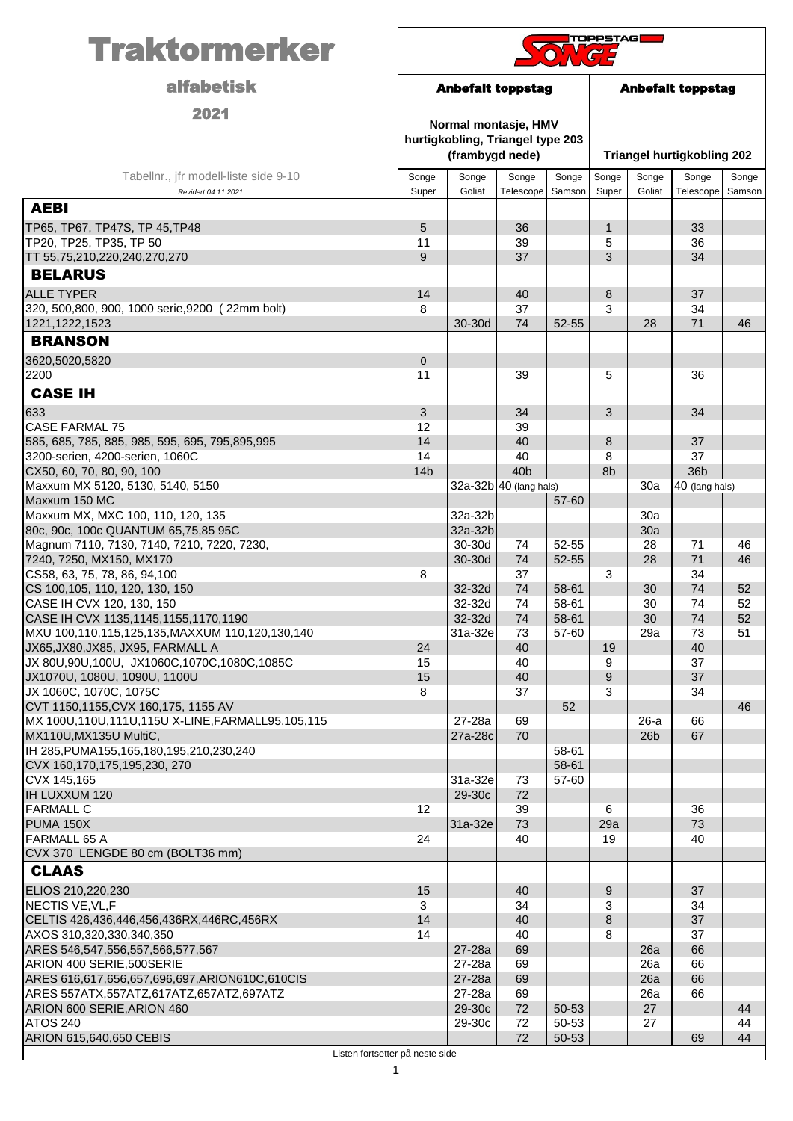| <b>alfabetisk</b><br><b>Anbefalt toppstag</b><br><b>Anbefalt toppstag</b><br>2021<br>Normal montasje, HMV<br>hurtigkobling, Triangel type 203<br>(frambygd nede)<br><b>Triangel hurtigkobling 202</b><br>Tabellnr., jfr modell-liste side 9-10<br>Songe<br>Songe<br>Songe<br>Songe<br>Songe<br>Songe<br>Songe<br>Songe<br>Goliat<br>Super<br>Telescope<br>Samson<br>Super<br>Goliat<br>Telescope<br>Samson<br>Revidert 04.11.2021<br><b>AEBI</b><br>5<br>TP65, TP67, TP47S, TP 45, TP48<br>36<br>$\mathbf{1}$<br>33<br>TP20, TP25, TP35, TP 50<br>11<br>39<br>5<br>36<br>9<br>TT 55,75,210,220,240,270,270<br>37<br>3<br>34<br><b>BELARUS</b><br><b>ALLE TYPER</b><br>14<br>37<br>40<br>8<br>320, 500,800, 900, 1000 serie,9200 (22mm bolt)<br>37<br>8<br>3<br>34<br>71<br>30-30d<br>74<br>52-55<br>28<br>46<br>1221, 1222, 1523<br><b>BRANSON</b><br>3620,5020,5820<br>$\mathbf 0$<br>2200<br>39<br>5<br>11<br>36<br><b>CASE IH</b><br>633<br>3<br>3<br>34<br>34<br><b>CASE FARMAL 75</b><br>12<br>39<br>14<br>585, 685, 785, 885, 985, 595, 695, 795,895,995<br>40<br>8<br>37<br>3200-serien, 4200-serien, 1060C<br>14<br>40<br>37<br>8<br>36b<br>CX50, 60, 70, 80, 90, 100<br>14 <sub>b</sub><br>40 <sub>b</sub><br>8 <sub>b</sub><br>Maxxum MX 5120, 5130, 5140, 5150<br>32a-32b 40 (lang hals)<br>40 (lang hals)<br>30a<br>Maxxum 150 MC<br>57-60<br>Maxxum MX, MXC 100, 110, 120, 135<br>32a-32b<br>30a<br>32a-32b<br>80c, 90c, 100c QUANTUM 65,75,85 95C<br>30a<br>52-55<br>Magnum 7110, 7130, 7140, 7210, 7220, 7230,<br>30-30d<br>74<br>28<br>71<br>46<br>71<br>7240, 7250, MX150, MX170<br>30-30d<br>74<br>52-55<br>28<br>46<br>CS58, 63, 75, 78, 86, 94, 100<br>37<br>34<br>8<br>3<br>74<br>CS 100, 105, 110, 120, 130, 150<br>74<br>58-61<br>52<br>32-32d<br>30<br>CASE IH CVX 120, 130, 150<br>32-32d<br>74<br>58-61<br>30<br>74<br>52<br>32-32d<br>CASE IH CVX 1135, 1145, 1155, 1170, 1190<br>74<br>58-61<br>30<br>74<br>52<br>51<br>MXU 100,110,115,125,135, MAXXUM 110,120,130,140<br>31a-32e<br>73<br>57-60<br>73<br>29a<br>JX65, JX80, JX85, JX95, FARMALL A<br>24<br>40<br>40<br>19<br>JX 80U,90U,100U, JX1060C,1070C,1080C,1085C<br>15<br>40<br>9<br>37<br>15<br>JX1070U, 1080U, 1090U, 1100U<br>40<br>9<br>37<br>JX 1060C, 1070C, 1075C<br>8<br>37<br>3<br>34<br>CVT 1150,1155, CVX 160,175, 1155 AV<br>52<br>46<br>MX 100U,110U,111U,115U X-LINE,FARMALL95,105,115<br>27-28a<br>69<br>66<br>$26-a$<br>70<br>67<br>MX110U, MX135U MultiC,<br>27a-28c<br>26 <sub>b</sub><br>IH 285, PUMA155, 165, 180, 195, 210, 230, 240<br>58-61<br>CVX 160,170,175,195,230, 270<br>58-61<br>CVX 145,165<br>31a-32e<br>57-60<br>73<br>72<br>IH LUXXUM 120<br>29-30c<br><b>FARMALL C</b><br>12<br>39<br>6<br>36<br>73<br>73<br>PUMA 150X<br>31a-32e<br>29a<br>40<br><b>FARMALL 65 A</b><br>24<br>19<br>40<br>CVX 370 LENGDE 80 cm (BOLT36 mm)<br><b>CLAAS</b><br>9<br>ELIOS 210,220,230<br>15<br>37<br>40<br>NECTIS VE, VL, F<br>3<br>34<br>3<br>34<br>14<br>37<br>CELTIS 426,436,446,456,436RX,446RC,456RX<br>40<br>8<br>14<br>40<br>AXOS 310,320,330,340,350<br>8<br>37<br>ARES 546,547,556,557,566,577,567<br>27-28a<br>69<br>26a<br>66<br>ARION 400 SERIE, 500 SERIE<br>27-28a<br>69<br>26a<br>66<br>69<br>66<br>ARES 616,617,656,657,696,697,ARION610C,610CIS<br>27-28a<br>26a<br>ARES 557ATX, 557ATZ, 617ATZ, 657ATZ, 697ATZ<br>27-28a<br>69<br>26a<br>66<br>29-30c<br>72<br>ARION 600 SERIE, ARION 460<br>50-53<br>27<br>44 | <b>Traktormerker</b> | <b>TOPPSTAG</b> |        |    |       |  |    |  |    |
|------------------------------------------------------------------------------------------------------------------------------------------------------------------------------------------------------------------------------------------------------------------------------------------------------------------------------------------------------------------------------------------------------------------------------------------------------------------------------------------------------------------------------------------------------------------------------------------------------------------------------------------------------------------------------------------------------------------------------------------------------------------------------------------------------------------------------------------------------------------------------------------------------------------------------------------------------------------------------------------------------------------------------------------------------------------------------------------------------------------------------------------------------------------------------------------------------------------------------------------------------------------------------------------------------------------------------------------------------------------------------------------------------------------------------------------------------------------------------------------------------------------------------------------------------------------------------------------------------------------------------------------------------------------------------------------------------------------------------------------------------------------------------------------------------------------------------------------------------------------------------------------------------------------------------------------------------------------------------------------------------------------------------------------------------------------------------------------------------------------------------------------------------------------------------------------------------------------------------------------------------------------------------------------------------------------------------------------------------------------------------------------------------------------------------------------------------------------------------------------------------------------------------------------------------------------------------------------------------------------------------------------------------------------------------------------------------------------------------------------------------------------------------------------------------------------------------------------------------------------------------------------------------------------------------------------------------------------------------------------------------------------------------------------------------------------------------------------------------------------------------------------------------------------------------------------------------------------------------------------------------------------------------------------------------------------------------------------------------------------------------------------------------------------------------------------|----------------------|-----------------|--------|----|-------|--|----|--|----|
|                                                                                                                                                                                                                                                                                                                                                                                                                                                                                                                                                                                                                                                                                                                                                                                                                                                                                                                                                                                                                                                                                                                                                                                                                                                                                                                                                                                                                                                                                                                                                                                                                                                                                                                                                                                                                                                                                                                                                                                                                                                                                                                                                                                                                                                                                                                                                                                                                                                                                                                                                                                                                                                                                                                                                                                                                                                                                                                                                                                                                                                                                                                                                                                                                                                                                                                                                                                                                                          |                      |                 |        |    |       |  |    |  |    |
|                                                                                                                                                                                                                                                                                                                                                                                                                                                                                                                                                                                                                                                                                                                                                                                                                                                                                                                                                                                                                                                                                                                                                                                                                                                                                                                                                                                                                                                                                                                                                                                                                                                                                                                                                                                                                                                                                                                                                                                                                                                                                                                                                                                                                                                                                                                                                                                                                                                                                                                                                                                                                                                                                                                                                                                                                                                                                                                                                                                                                                                                                                                                                                                                                                                                                                                                                                                                                                          |                      |                 |        |    |       |  |    |  |    |
|                                                                                                                                                                                                                                                                                                                                                                                                                                                                                                                                                                                                                                                                                                                                                                                                                                                                                                                                                                                                                                                                                                                                                                                                                                                                                                                                                                                                                                                                                                                                                                                                                                                                                                                                                                                                                                                                                                                                                                                                                                                                                                                                                                                                                                                                                                                                                                                                                                                                                                                                                                                                                                                                                                                                                                                                                                                                                                                                                                                                                                                                                                                                                                                                                                                                                                                                                                                                                                          |                      |                 |        |    |       |  |    |  |    |
|                                                                                                                                                                                                                                                                                                                                                                                                                                                                                                                                                                                                                                                                                                                                                                                                                                                                                                                                                                                                                                                                                                                                                                                                                                                                                                                                                                                                                                                                                                                                                                                                                                                                                                                                                                                                                                                                                                                                                                                                                                                                                                                                                                                                                                                                                                                                                                                                                                                                                                                                                                                                                                                                                                                                                                                                                                                                                                                                                                                                                                                                                                                                                                                                                                                                                                                                                                                                                                          |                      |                 |        |    |       |  |    |  |    |
|                                                                                                                                                                                                                                                                                                                                                                                                                                                                                                                                                                                                                                                                                                                                                                                                                                                                                                                                                                                                                                                                                                                                                                                                                                                                                                                                                                                                                                                                                                                                                                                                                                                                                                                                                                                                                                                                                                                                                                                                                                                                                                                                                                                                                                                                                                                                                                                                                                                                                                                                                                                                                                                                                                                                                                                                                                                                                                                                                                                                                                                                                                                                                                                                                                                                                                                                                                                                                                          |                      |                 |        |    |       |  |    |  |    |
|                                                                                                                                                                                                                                                                                                                                                                                                                                                                                                                                                                                                                                                                                                                                                                                                                                                                                                                                                                                                                                                                                                                                                                                                                                                                                                                                                                                                                                                                                                                                                                                                                                                                                                                                                                                                                                                                                                                                                                                                                                                                                                                                                                                                                                                                                                                                                                                                                                                                                                                                                                                                                                                                                                                                                                                                                                                                                                                                                                                                                                                                                                                                                                                                                                                                                                                                                                                                                                          |                      |                 |        |    |       |  |    |  |    |
|                                                                                                                                                                                                                                                                                                                                                                                                                                                                                                                                                                                                                                                                                                                                                                                                                                                                                                                                                                                                                                                                                                                                                                                                                                                                                                                                                                                                                                                                                                                                                                                                                                                                                                                                                                                                                                                                                                                                                                                                                                                                                                                                                                                                                                                                                                                                                                                                                                                                                                                                                                                                                                                                                                                                                                                                                                                                                                                                                                                                                                                                                                                                                                                                                                                                                                                                                                                                                                          |                      |                 |        |    |       |  |    |  |    |
|                                                                                                                                                                                                                                                                                                                                                                                                                                                                                                                                                                                                                                                                                                                                                                                                                                                                                                                                                                                                                                                                                                                                                                                                                                                                                                                                                                                                                                                                                                                                                                                                                                                                                                                                                                                                                                                                                                                                                                                                                                                                                                                                                                                                                                                                                                                                                                                                                                                                                                                                                                                                                                                                                                                                                                                                                                                                                                                                                                                                                                                                                                                                                                                                                                                                                                                                                                                                                                          |                      |                 |        |    |       |  |    |  |    |
|                                                                                                                                                                                                                                                                                                                                                                                                                                                                                                                                                                                                                                                                                                                                                                                                                                                                                                                                                                                                                                                                                                                                                                                                                                                                                                                                                                                                                                                                                                                                                                                                                                                                                                                                                                                                                                                                                                                                                                                                                                                                                                                                                                                                                                                                                                                                                                                                                                                                                                                                                                                                                                                                                                                                                                                                                                                                                                                                                                                                                                                                                                                                                                                                                                                                                                                                                                                                                                          |                      |                 |        |    |       |  |    |  |    |
|                                                                                                                                                                                                                                                                                                                                                                                                                                                                                                                                                                                                                                                                                                                                                                                                                                                                                                                                                                                                                                                                                                                                                                                                                                                                                                                                                                                                                                                                                                                                                                                                                                                                                                                                                                                                                                                                                                                                                                                                                                                                                                                                                                                                                                                                                                                                                                                                                                                                                                                                                                                                                                                                                                                                                                                                                                                                                                                                                                                                                                                                                                                                                                                                                                                                                                                                                                                                                                          |                      |                 |        |    |       |  |    |  |    |
|                                                                                                                                                                                                                                                                                                                                                                                                                                                                                                                                                                                                                                                                                                                                                                                                                                                                                                                                                                                                                                                                                                                                                                                                                                                                                                                                                                                                                                                                                                                                                                                                                                                                                                                                                                                                                                                                                                                                                                                                                                                                                                                                                                                                                                                                                                                                                                                                                                                                                                                                                                                                                                                                                                                                                                                                                                                                                                                                                                                                                                                                                                                                                                                                                                                                                                                                                                                                                                          |                      |                 |        |    |       |  |    |  |    |
|                                                                                                                                                                                                                                                                                                                                                                                                                                                                                                                                                                                                                                                                                                                                                                                                                                                                                                                                                                                                                                                                                                                                                                                                                                                                                                                                                                                                                                                                                                                                                                                                                                                                                                                                                                                                                                                                                                                                                                                                                                                                                                                                                                                                                                                                                                                                                                                                                                                                                                                                                                                                                                                                                                                                                                                                                                                                                                                                                                                                                                                                                                                                                                                                                                                                                                                                                                                                                                          |                      |                 |        |    |       |  |    |  |    |
|                                                                                                                                                                                                                                                                                                                                                                                                                                                                                                                                                                                                                                                                                                                                                                                                                                                                                                                                                                                                                                                                                                                                                                                                                                                                                                                                                                                                                                                                                                                                                                                                                                                                                                                                                                                                                                                                                                                                                                                                                                                                                                                                                                                                                                                                                                                                                                                                                                                                                                                                                                                                                                                                                                                                                                                                                                                                                                                                                                                                                                                                                                                                                                                                                                                                                                                                                                                                                                          |                      |                 |        |    |       |  |    |  |    |
|                                                                                                                                                                                                                                                                                                                                                                                                                                                                                                                                                                                                                                                                                                                                                                                                                                                                                                                                                                                                                                                                                                                                                                                                                                                                                                                                                                                                                                                                                                                                                                                                                                                                                                                                                                                                                                                                                                                                                                                                                                                                                                                                                                                                                                                                                                                                                                                                                                                                                                                                                                                                                                                                                                                                                                                                                                                                                                                                                                                                                                                                                                                                                                                                                                                                                                                                                                                                                                          |                      |                 |        |    |       |  |    |  |    |
|                                                                                                                                                                                                                                                                                                                                                                                                                                                                                                                                                                                                                                                                                                                                                                                                                                                                                                                                                                                                                                                                                                                                                                                                                                                                                                                                                                                                                                                                                                                                                                                                                                                                                                                                                                                                                                                                                                                                                                                                                                                                                                                                                                                                                                                                                                                                                                                                                                                                                                                                                                                                                                                                                                                                                                                                                                                                                                                                                                                                                                                                                                                                                                                                                                                                                                                                                                                                                                          |                      |                 |        |    |       |  |    |  |    |
|                                                                                                                                                                                                                                                                                                                                                                                                                                                                                                                                                                                                                                                                                                                                                                                                                                                                                                                                                                                                                                                                                                                                                                                                                                                                                                                                                                                                                                                                                                                                                                                                                                                                                                                                                                                                                                                                                                                                                                                                                                                                                                                                                                                                                                                                                                                                                                                                                                                                                                                                                                                                                                                                                                                                                                                                                                                                                                                                                                                                                                                                                                                                                                                                                                                                                                                                                                                                                                          |                      |                 |        |    |       |  |    |  |    |
|                                                                                                                                                                                                                                                                                                                                                                                                                                                                                                                                                                                                                                                                                                                                                                                                                                                                                                                                                                                                                                                                                                                                                                                                                                                                                                                                                                                                                                                                                                                                                                                                                                                                                                                                                                                                                                                                                                                                                                                                                                                                                                                                                                                                                                                                                                                                                                                                                                                                                                                                                                                                                                                                                                                                                                                                                                                                                                                                                                                                                                                                                                                                                                                                                                                                                                                                                                                                                                          |                      |                 |        |    |       |  |    |  |    |
|                                                                                                                                                                                                                                                                                                                                                                                                                                                                                                                                                                                                                                                                                                                                                                                                                                                                                                                                                                                                                                                                                                                                                                                                                                                                                                                                                                                                                                                                                                                                                                                                                                                                                                                                                                                                                                                                                                                                                                                                                                                                                                                                                                                                                                                                                                                                                                                                                                                                                                                                                                                                                                                                                                                                                                                                                                                                                                                                                                                                                                                                                                                                                                                                                                                                                                                                                                                                                                          |                      |                 |        |    |       |  |    |  |    |
|                                                                                                                                                                                                                                                                                                                                                                                                                                                                                                                                                                                                                                                                                                                                                                                                                                                                                                                                                                                                                                                                                                                                                                                                                                                                                                                                                                                                                                                                                                                                                                                                                                                                                                                                                                                                                                                                                                                                                                                                                                                                                                                                                                                                                                                                                                                                                                                                                                                                                                                                                                                                                                                                                                                                                                                                                                                                                                                                                                                                                                                                                                                                                                                                                                                                                                                                                                                                                                          |                      |                 |        |    |       |  |    |  |    |
|                                                                                                                                                                                                                                                                                                                                                                                                                                                                                                                                                                                                                                                                                                                                                                                                                                                                                                                                                                                                                                                                                                                                                                                                                                                                                                                                                                                                                                                                                                                                                                                                                                                                                                                                                                                                                                                                                                                                                                                                                                                                                                                                                                                                                                                                                                                                                                                                                                                                                                                                                                                                                                                                                                                                                                                                                                                                                                                                                                                                                                                                                                                                                                                                                                                                                                                                                                                                                                          |                      |                 |        |    |       |  |    |  |    |
|                                                                                                                                                                                                                                                                                                                                                                                                                                                                                                                                                                                                                                                                                                                                                                                                                                                                                                                                                                                                                                                                                                                                                                                                                                                                                                                                                                                                                                                                                                                                                                                                                                                                                                                                                                                                                                                                                                                                                                                                                                                                                                                                                                                                                                                                                                                                                                                                                                                                                                                                                                                                                                                                                                                                                                                                                                                                                                                                                                                                                                                                                                                                                                                                                                                                                                                                                                                                                                          |                      |                 |        |    |       |  |    |  |    |
|                                                                                                                                                                                                                                                                                                                                                                                                                                                                                                                                                                                                                                                                                                                                                                                                                                                                                                                                                                                                                                                                                                                                                                                                                                                                                                                                                                                                                                                                                                                                                                                                                                                                                                                                                                                                                                                                                                                                                                                                                                                                                                                                                                                                                                                                                                                                                                                                                                                                                                                                                                                                                                                                                                                                                                                                                                                                                                                                                                                                                                                                                                                                                                                                                                                                                                                                                                                                                                          |                      |                 |        |    |       |  |    |  |    |
|                                                                                                                                                                                                                                                                                                                                                                                                                                                                                                                                                                                                                                                                                                                                                                                                                                                                                                                                                                                                                                                                                                                                                                                                                                                                                                                                                                                                                                                                                                                                                                                                                                                                                                                                                                                                                                                                                                                                                                                                                                                                                                                                                                                                                                                                                                                                                                                                                                                                                                                                                                                                                                                                                                                                                                                                                                                                                                                                                                                                                                                                                                                                                                                                                                                                                                                                                                                                                                          |                      |                 |        |    |       |  |    |  |    |
|                                                                                                                                                                                                                                                                                                                                                                                                                                                                                                                                                                                                                                                                                                                                                                                                                                                                                                                                                                                                                                                                                                                                                                                                                                                                                                                                                                                                                                                                                                                                                                                                                                                                                                                                                                                                                                                                                                                                                                                                                                                                                                                                                                                                                                                                                                                                                                                                                                                                                                                                                                                                                                                                                                                                                                                                                                                                                                                                                                                                                                                                                                                                                                                                                                                                                                                                                                                                                                          |                      |                 |        |    |       |  |    |  |    |
|                                                                                                                                                                                                                                                                                                                                                                                                                                                                                                                                                                                                                                                                                                                                                                                                                                                                                                                                                                                                                                                                                                                                                                                                                                                                                                                                                                                                                                                                                                                                                                                                                                                                                                                                                                                                                                                                                                                                                                                                                                                                                                                                                                                                                                                                                                                                                                                                                                                                                                                                                                                                                                                                                                                                                                                                                                                                                                                                                                                                                                                                                                                                                                                                                                                                                                                                                                                                                                          |                      |                 |        |    |       |  |    |  |    |
|                                                                                                                                                                                                                                                                                                                                                                                                                                                                                                                                                                                                                                                                                                                                                                                                                                                                                                                                                                                                                                                                                                                                                                                                                                                                                                                                                                                                                                                                                                                                                                                                                                                                                                                                                                                                                                                                                                                                                                                                                                                                                                                                                                                                                                                                                                                                                                                                                                                                                                                                                                                                                                                                                                                                                                                                                                                                                                                                                                                                                                                                                                                                                                                                                                                                                                                                                                                                                                          |                      |                 |        |    |       |  |    |  |    |
|                                                                                                                                                                                                                                                                                                                                                                                                                                                                                                                                                                                                                                                                                                                                                                                                                                                                                                                                                                                                                                                                                                                                                                                                                                                                                                                                                                                                                                                                                                                                                                                                                                                                                                                                                                                                                                                                                                                                                                                                                                                                                                                                                                                                                                                                                                                                                                                                                                                                                                                                                                                                                                                                                                                                                                                                                                                                                                                                                                                                                                                                                                                                                                                                                                                                                                                                                                                                                                          |                      |                 |        |    |       |  |    |  |    |
|                                                                                                                                                                                                                                                                                                                                                                                                                                                                                                                                                                                                                                                                                                                                                                                                                                                                                                                                                                                                                                                                                                                                                                                                                                                                                                                                                                                                                                                                                                                                                                                                                                                                                                                                                                                                                                                                                                                                                                                                                                                                                                                                                                                                                                                                                                                                                                                                                                                                                                                                                                                                                                                                                                                                                                                                                                                                                                                                                                                                                                                                                                                                                                                                                                                                                                                                                                                                                                          |                      |                 |        |    |       |  |    |  |    |
|                                                                                                                                                                                                                                                                                                                                                                                                                                                                                                                                                                                                                                                                                                                                                                                                                                                                                                                                                                                                                                                                                                                                                                                                                                                                                                                                                                                                                                                                                                                                                                                                                                                                                                                                                                                                                                                                                                                                                                                                                                                                                                                                                                                                                                                                                                                                                                                                                                                                                                                                                                                                                                                                                                                                                                                                                                                                                                                                                                                                                                                                                                                                                                                                                                                                                                                                                                                                                                          |                      |                 |        |    |       |  |    |  |    |
|                                                                                                                                                                                                                                                                                                                                                                                                                                                                                                                                                                                                                                                                                                                                                                                                                                                                                                                                                                                                                                                                                                                                                                                                                                                                                                                                                                                                                                                                                                                                                                                                                                                                                                                                                                                                                                                                                                                                                                                                                                                                                                                                                                                                                                                                                                                                                                                                                                                                                                                                                                                                                                                                                                                                                                                                                                                                                                                                                                                                                                                                                                                                                                                                                                                                                                                                                                                                                                          |                      |                 |        |    |       |  |    |  |    |
|                                                                                                                                                                                                                                                                                                                                                                                                                                                                                                                                                                                                                                                                                                                                                                                                                                                                                                                                                                                                                                                                                                                                                                                                                                                                                                                                                                                                                                                                                                                                                                                                                                                                                                                                                                                                                                                                                                                                                                                                                                                                                                                                                                                                                                                                                                                                                                                                                                                                                                                                                                                                                                                                                                                                                                                                                                                                                                                                                                                                                                                                                                                                                                                                                                                                                                                                                                                                                                          |                      |                 |        |    |       |  |    |  |    |
|                                                                                                                                                                                                                                                                                                                                                                                                                                                                                                                                                                                                                                                                                                                                                                                                                                                                                                                                                                                                                                                                                                                                                                                                                                                                                                                                                                                                                                                                                                                                                                                                                                                                                                                                                                                                                                                                                                                                                                                                                                                                                                                                                                                                                                                                                                                                                                                                                                                                                                                                                                                                                                                                                                                                                                                                                                                                                                                                                                                                                                                                                                                                                                                                                                                                                                                                                                                                                                          |                      |                 |        |    |       |  |    |  |    |
|                                                                                                                                                                                                                                                                                                                                                                                                                                                                                                                                                                                                                                                                                                                                                                                                                                                                                                                                                                                                                                                                                                                                                                                                                                                                                                                                                                                                                                                                                                                                                                                                                                                                                                                                                                                                                                                                                                                                                                                                                                                                                                                                                                                                                                                                                                                                                                                                                                                                                                                                                                                                                                                                                                                                                                                                                                                                                                                                                                                                                                                                                                                                                                                                                                                                                                                                                                                                                                          |                      |                 |        |    |       |  |    |  |    |
|                                                                                                                                                                                                                                                                                                                                                                                                                                                                                                                                                                                                                                                                                                                                                                                                                                                                                                                                                                                                                                                                                                                                                                                                                                                                                                                                                                                                                                                                                                                                                                                                                                                                                                                                                                                                                                                                                                                                                                                                                                                                                                                                                                                                                                                                                                                                                                                                                                                                                                                                                                                                                                                                                                                                                                                                                                                                                                                                                                                                                                                                                                                                                                                                                                                                                                                                                                                                                                          |                      |                 |        |    |       |  |    |  |    |
|                                                                                                                                                                                                                                                                                                                                                                                                                                                                                                                                                                                                                                                                                                                                                                                                                                                                                                                                                                                                                                                                                                                                                                                                                                                                                                                                                                                                                                                                                                                                                                                                                                                                                                                                                                                                                                                                                                                                                                                                                                                                                                                                                                                                                                                                                                                                                                                                                                                                                                                                                                                                                                                                                                                                                                                                                                                                                                                                                                                                                                                                                                                                                                                                                                                                                                                                                                                                                                          |                      |                 |        |    |       |  |    |  |    |
|                                                                                                                                                                                                                                                                                                                                                                                                                                                                                                                                                                                                                                                                                                                                                                                                                                                                                                                                                                                                                                                                                                                                                                                                                                                                                                                                                                                                                                                                                                                                                                                                                                                                                                                                                                                                                                                                                                                                                                                                                                                                                                                                                                                                                                                                                                                                                                                                                                                                                                                                                                                                                                                                                                                                                                                                                                                                                                                                                                                                                                                                                                                                                                                                                                                                                                                                                                                                                                          |                      |                 |        |    |       |  |    |  |    |
|                                                                                                                                                                                                                                                                                                                                                                                                                                                                                                                                                                                                                                                                                                                                                                                                                                                                                                                                                                                                                                                                                                                                                                                                                                                                                                                                                                                                                                                                                                                                                                                                                                                                                                                                                                                                                                                                                                                                                                                                                                                                                                                                                                                                                                                                                                                                                                                                                                                                                                                                                                                                                                                                                                                                                                                                                                                                                                                                                                                                                                                                                                                                                                                                                                                                                                                                                                                                                                          |                      |                 |        |    |       |  |    |  |    |
|                                                                                                                                                                                                                                                                                                                                                                                                                                                                                                                                                                                                                                                                                                                                                                                                                                                                                                                                                                                                                                                                                                                                                                                                                                                                                                                                                                                                                                                                                                                                                                                                                                                                                                                                                                                                                                                                                                                                                                                                                                                                                                                                                                                                                                                                                                                                                                                                                                                                                                                                                                                                                                                                                                                                                                                                                                                                                                                                                                                                                                                                                                                                                                                                                                                                                                                                                                                                                                          |                      |                 |        |    |       |  |    |  |    |
|                                                                                                                                                                                                                                                                                                                                                                                                                                                                                                                                                                                                                                                                                                                                                                                                                                                                                                                                                                                                                                                                                                                                                                                                                                                                                                                                                                                                                                                                                                                                                                                                                                                                                                                                                                                                                                                                                                                                                                                                                                                                                                                                                                                                                                                                                                                                                                                                                                                                                                                                                                                                                                                                                                                                                                                                                                                                                                                                                                                                                                                                                                                                                                                                                                                                                                                                                                                                                                          |                      |                 |        |    |       |  |    |  |    |
|                                                                                                                                                                                                                                                                                                                                                                                                                                                                                                                                                                                                                                                                                                                                                                                                                                                                                                                                                                                                                                                                                                                                                                                                                                                                                                                                                                                                                                                                                                                                                                                                                                                                                                                                                                                                                                                                                                                                                                                                                                                                                                                                                                                                                                                                                                                                                                                                                                                                                                                                                                                                                                                                                                                                                                                                                                                                                                                                                                                                                                                                                                                                                                                                                                                                                                                                                                                                                                          |                      |                 |        |    |       |  |    |  |    |
|                                                                                                                                                                                                                                                                                                                                                                                                                                                                                                                                                                                                                                                                                                                                                                                                                                                                                                                                                                                                                                                                                                                                                                                                                                                                                                                                                                                                                                                                                                                                                                                                                                                                                                                                                                                                                                                                                                                                                                                                                                                                                                                                                                                                                                                                                                                                                                                                                                                                                                                                                                                                                                                                                                                                                                                                                                                                                                                                                                                                                                                                                                                                                                                                                                                                                                                                                                                                                                          |                      |                 |        |    |       |  |    |  |    |
|                                                                                                                                                                                                                                                                                                                                                                                                                                                                                                                                                                                                                                                                                                                                                                                                                                                                                                                                                                                                                                                                                                                                                                                                                                                                                                                                                                                                                                                                                                                                                                                                                                                                                                                                                                                                                                                                                                                                                                                                                                                                                                                                                                                                                                                                                                                                                                                                                                                                                                                                                                                                                                                                                                                                                                                                                                                                                                                                                                                                                                                                                                                                                                                                                                                                                                                                                                                                                                          |                      |                 |        |    |       |  |    |  |    |
|                                                                                                                                                                                                                                                                                                                                                                                                                                                                                                                                                                                                                                                                                                                                                                                                                                                                                                                                                                                                                                                                                                                                                                                                                                                                                                                                                                                                                                                                                                                                                                                                                                                                                                                                                                                                                                                                                                                                                                                                                                                                                                                                                                                                                                                                                                                                                                                                                                                                                                                                                                                                                                                                                                                                                                                                                                                                                                                                                                                                                                                                                                                                                                                                                                                                                                                                                                                                                                          |                      |                 |        |    |       |  |    |  |    |
|                                                                                                                                                                                                                                                                                                                                                                                                                                                                                                                                                                                                                                                                                                                                                                                                                                                                                                                                                                                                                                                                                                                                                                                                                                                                                                                                                                                                                                                                                                                                                                                                                                                                                                                                                                                                                                                                                                                                                                                                                                                                                                                                                                                                                                                                                                                                                                                                                                                                                                                                                                                                                                                                                                                                                                                                                                                                                                                                                                                                                                                                                                                                                                                                                                                                                                                                                                                                                                          |                      |                 |        |    |       |  |    |  |    |
|                                                                                                                                                                                                                                                                                                                                                                                                                                                                                                                                                                                                                                                                                                                                                                                                                                                                                                                                                                                                                                                                                                                                                                                                                                                                                                                                                                                                                                                                                                                                                                                                                                                                                                                                                                                                                                                                                                                                                                                                                                                                                                                                                                                                                                                                                                                                                                                                                                                                                                                                                                                                                                                                                                                                                                                                                                                                                                                                                                                                                                                                                                                                                                                                                                                                                                                                                                                                                                          |                      |                 |        |    |       |  |    |  |    |
|                                                                                                                                                                                                                                                                                                                                                                                                                                                                                                                                                                                                                                                                                                                                                                                                                                                                                                                                                                                                                                                                                                                                                                                                                                                                                                                                                                                                                                                                                                                                                                                                                                                                                                                                                                                                                                                                                                                                                                                                                                                                                                                                                                                                                                                                                                                                                                                                                                                                                                                                                                                                                                                                                                                                                                                                                                                                                                                                                                                                                                                                                                                                                                                                                                                                                                                                                                                                                                          |                      |                 |        |    |       |  |    |  |    |
|                                                                                                                                                                                                                                                                                                                                                                                                                                                                                                                                                                                                                                                                                                                                                                                                                                                                                                                                                                                                                                                                                                                                                                                                                                                                                                                                                                                                                                                                                                                                                                                                                                                                                                                                                                                                                                                                                                                                                                                                                                                                                                                                                                                                                                                                                                                                                                                                                                                                                                                                                                                                                                                                                                                                                                                                                                                                                                                                                                                                                                                                                                                                                                                                                                                                                                                                                                                                                                          |                      |                 |        |    |       |  |    |  |    |
|                                                                                                                                                                                                                                                                                                                                                                                                                                                                                                                                                                                                                                                                                                                                                                                                                                                                                                                                                                                                                                                                                                                                                                                                                                                                                                                                                                                                                                                                                                                                                                                                                                                                                                                                                                                                                                                                                                                                                                                                                                                                                                                                                                                                                                                                                                                                                                                                                                                                                                                                                                                                                                                                                                                                                                                                                                                                                                                                                                                                                                                                                                                                                                                                                                                                                                                                                                                                                                          |                      |                 |        |    |       |  |    |  |    |
|                                                                                                                                                                                                                                                                                                                                                                                                                                                                                                                                                                                                                                                                                                                                                                                                                                                                                                                                                                                                                                                                                                                                                                                                                                                                                                                                                                                                                                                                                                                                                                                                                                                                                                                                                                                                                                                                                                                                                                                                                                                                                                                                                                                                                                                                                                                                                                                                                                                                                                                                                                                                                                                                                                                                                                                                                                                                                                                                                                                                                                                                                                                                                                                                                                                                                                                                                                                                                                          | <b>ATOS 240</b>      |                 | 29-30c | 72 | 50-53 |  | 27 |  | 44 |
| ARION 615,640,650 CEBIS<br>72<br>50-53<br>69<br>44<br>Listen fortsetter på neste side                                                                                                                                                                                                                                                                                                                                                                                                                                                                                                                                                                                                                                                                                                                                                                                                                                                                                                                                                                                                                                                                                                                                                                                                                                                                                                                                                                                                                                                                                                                                                                                                                                                                                                                                                                                                                                                                                                                                                                                                                                                                                                                                                                                                                                                                                                                                                                                                                                                                                                                                                                                                                                                                                                                                                                                                                                                                                                                                                                                                                                                                                                                                                                                                                                                                                                                                                    |                      |                 |        |    |       |  |    |  |    |

Listen fortsetter på neste side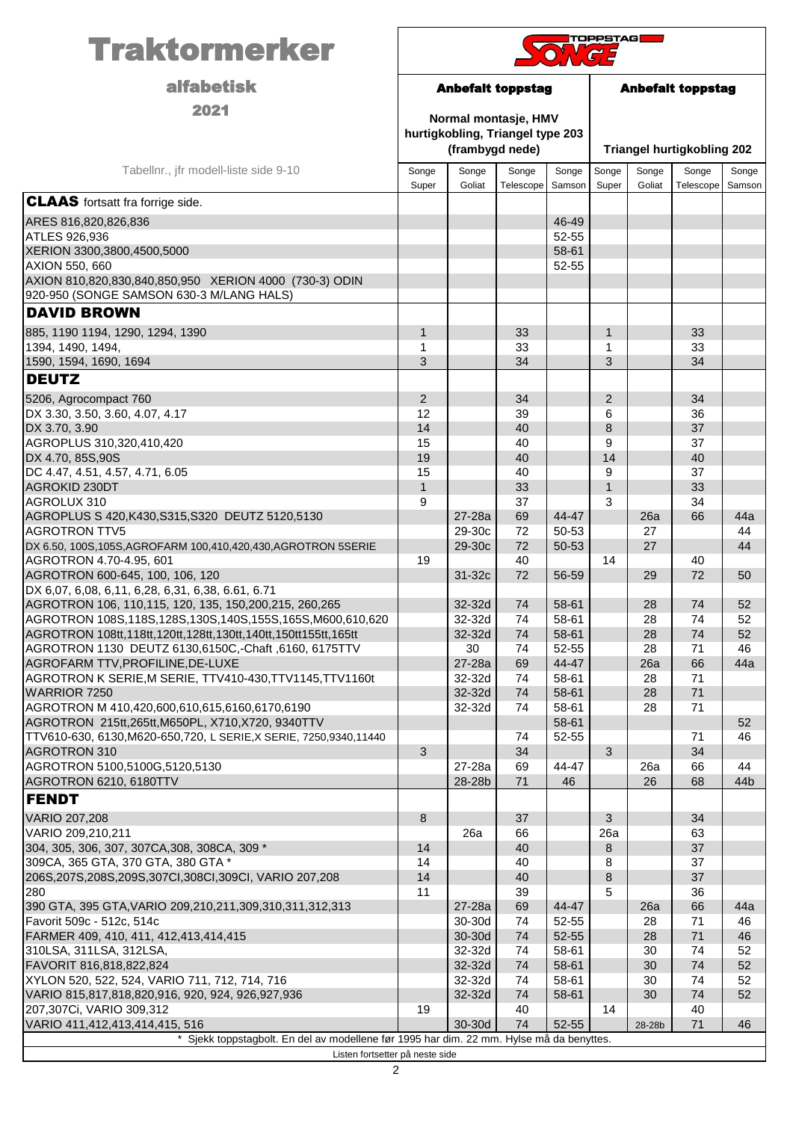| <b>Traktormerker</b>                                                                                                      | <b>TOPPSTAG</b><br>$\sqrt{G}$                        |                                                                             |                    |                 |                |                                   |                    |                 |
|---------------------------------------------------------------------------------------------------------------------------|------------------------------------------------------|-----------------------------------------------------------------------------|--------------------|-----------------|----------------|-----------------------------------|--------------------|-----------------|
| <b>alfabetisk</b>                                                                                                         | <b>Anbefalt toppstag</b><br><b>Anbefalt toppstag</b> |                                                                             |                    |                 |                |                                   |                    |                 |
| 2021                                                                                                                      |                                                      | Normal montasje, HMV<br>hurtigkobling, Triangel type 203<br>(frambygd nede) |                    |                 |                | <b>Triangel hurtigkobling 202</b> |                    |                 |
| Tabellnr., jfr modell-liste side 9-10                                                                                     | Songe<br>Super                                       | Songe<br>Goliat                                                             | Songe<br>Telescope | Songe<br>Samson | Songe<br>Super | Songe<br>Goliat                   | Songe<br>Telescope | Songe<br>Samson |
| <b>CLAAS</b> fortsatt fra forrige side.                                                                                   |                                                      |                                                                             |                    |                 |                |                                   |                    |                 |
| ARES 816,820,826,836                                                                                                      |                                                      |                                                                             |                    | 46-49           |                |                                   |                    |                 |
| <b>ATLES 926,936</b>                                                                                                      |                                                      |                                                                             |                    | 52-55           |                |                                   |                    |                 |
| XERION 3300,3800,4500,5000<br>AXION 550, 660                                                                              |                                                      |                                                                             |                    | 58-61<br>52-55  |                |                                   |                    |                 |
| AXION 810,820,830,840,850,950 XERION 4000 (730-3) ODIN                                                                    |                                                      |                                                                             |                    |                 |                |                                   |                    |                 |
| 920-950 (SONGE SAMSON 630-3 M/LANG HALS)                                                                                  |                                                      |                                                                             |                    |                 |                |                                   |                    |                 |
| <b>DAVID BROWN</b>                                                                                                        |                                                      |                                                                             |                    |                 |                |                                   |                    |                 |
| 885, 1190 1194, 1290, 1294, 1390                                                                                          | 1                                                    |                                                                             | 33                 |                 | $\mathbf{1}$   |                                   | 33                 |                 |
| 1394, 1490, 1494,                                                                                                         | 1                                                    |                                                                             | 33                 |                 | 1              |                                   | 33                 |                 |
| 1590, 1594, 1690, 1694                                                                                                    | 3                                                    |                                                                             | 34                 |                 | 3              |                                   | 34                 |                 |
| <b>DEUTZ</b>                                                                                                              |                                                      |                                                                             |                    |                 |                |                                   |                    |                 |
| 5206, Agrocompact 760                                                                                                     | $\overline{2}$                                       |                                                                             | 34                 |                 | $\overline{2}$ |                                   | 34                 |                 |
| DX 3.30, 3.50, 3.60, 4.07, 4.17<br>DX 3.70, 3.90                                                                          | 12<br>14                                             |                                                                             | 39<br>40           |                 | 6<br>8         |                                   | 36<br>37           |                 |
| AGROPLUS 310,320,410,420                                                                                                  | 15                                                   |                                                                             | 40                 |                 | 9              |                                   | 37                 |                 |
| DX 4.70, 85S, 90S                                                                                                         | 19                                                   |                                                                             | 40                 |                 | 14             |                                   | 40                 |                 |
| DC 4.47, 4.51, 4.57, 4.71, 6.05                                                                                           | 15                                                   |                                                                             | 40                 |                 | 9              |                                   | 37                 |                 |
| AGROKID 230DT                                                                                                             | $\mathbf{1}$                                         |                                                                             | 33                 |                 | $\mathbf{1}$   |                                   | 33                 |                 |
| AGROLUX 310<br>AGROPLUS S 420, K430, S315, S320 DEUTZ 5120, 5130                                                          | 9                                                    | 27-28a                                                                      | 37<br>69           | 44-47           | 3              | 26a                               | 34<br>66           | 44a             |
| <b>AGROTRON TTV5</b>                                                                                                      |                                                      | 29-30c                                                                      | 72                 | 50-53           |                | 27                                |                    | 44              |
| DX 6.50, 100S, 105S, AGROFARM 100, 410, 420, 430, AGROTRON 5SERIE                                                         |                                                      | 29-30c                                                                      | 72                 | 50-53           |                | 27                                |                    | 44              |
| AGROTRON 4.70-4.95, 601                                                                                                   | 19                                                   |                                                                             | 40                 |                 | 14             |                                   | 40                 |                 |
| AGROTRON 600-645, 100, 106, 120                                                                                           |                                                      | 31-32c                                                                      | 72                 | 56-59           |                | 29                                | 72                 | 50              |
| DX 6,07, 6,08, 6,11, 6,28, 6,31, 6,38, 6.61, 6.71<br>AGROTRON 106, 110,115, 120, 135, 150,200,215, 260,265                |                                                      | 32-32d                                                                      | 74                 | 58-61           |                | 28                                | 74                 | 52              |
| AGROTRON 108S,118S,128S,130S,140S,155S,165S,M600,610,620                                                                  |                                                      | 32-32d                                                                      | 74                 | 58-61           |                | 28                                | 74                 | 52              |
| AGROTRON 108tt, 118tt, 120tt, 128tt, 130tt, 140tt, 150tt 155tt, 165tt                                                     |                                                      | 32-32d                                                                      | 74                 | 58-61           |                | 28                                | 74                 | 52              |
| AGROTRON 1130 DEUTZ 6130,6150C,-Chaft, 6160, 6175TTV                                                                      |                                                      | 30                                                                          | 74                 | 52-55           |                | 28                                | 71                 | 46              |
| AGROFARM TTV, PROFILINE, DE-LUXE                                                                                          |                                                      | 27-28a                                                                      | 69                 | 44-47           |                | 26a                               | 66                 | 44a             |
| AGROTRON K SERIE, M SERIE, TTV410-430, TTV1145, TTV1160t<br>WARRIOR 7250                                                  |                                                      | 32-32d<br>32-32d                                                            | 74<br>74           | 58-61<br>58-61  |                | 28<br>28                          | 71<br>71           |                 |
| AGROTRON M 410,420,600,610,615,6160,6170,6190                                                                             |                                                      | 32-32d                                                                      | 74                 | 58-61           |                | 28                                | 71                 |                 |
| AGROTRON 215tt, 265tt, M650PL, X710, X720, 9340TTV                                                                        |                                                      |                                                                             |                    | 58-61           |                |                                   |                    | 52              |
| TTV610-630, 6130, M620-650, 720, LSERIE, XSERIE, 7250, 9340, 11440                                                        |                                                      |                                                                             | 74                 | 52-55           |                |                                   | 71                 | 46              |
| <b>AGROTRON 310</b><br>AGROTRON 5100,5100G,5120,5130                                                                      | 3                                                    | 27-28a                                                                      | 34<br>69           | 44-47           | 3              | 26a                               | 34<br>66           | 44              |
| AGROTRON 6210, 6180TTV                                                                                                    |                                                      | 28-28b                                                                      | 71                 | 46              |                | 26                                | 68                 | 44b             |
| <b>FENDT</b>                                                                                                              |                                                      |                                                                             |                    |                 |                |                                   |                    |                 |
| VARIO 207,208                                                                                                             | $\bf 8$                                              |                                                                             | 37                 |                 | 3              |                                   | 34                 |                 |
| VARIO 209,210,211                                                                                                         |                                                      | 26a                                                                         | 66                 |                 | 26a            |                                   | 63                 |                 |
| 304, 305, 306, 307, 307CA, 308, 308CA, 309 *                                                                              | 14                                                   |                                                                             | 40                 |                 | 8              |                                   | 37                 |                 |
| 309CA, 365 GTA, 370 GTA, 380 GTA *                                                                                        | 14                                                   |                                                                             | 40                 |                 | 8              |                                   | 37                 |                 |
| 206S, 207S, 208S, 209S, 307CI, 308CI, 309CI, VARIO 207, 208<br>280                                                        | 14<br>11                                             |                                                                             | 40<br>39           |                 | 8<br>5         |                                   | 37<br>36           |                 |
| 390 GTA, 395 GTA, VARIO 209, 210, 211, 309, 310, 311, 312, 313                                                            |                                                      | 27-28a                                                                      | 69                 | 44-47           |                | 26a                               | 66                 | 44a             |
| Favorit 509c - 512c, 514c                                                                                                 |                                                      | 30-30d                                                                      | 74                 | 52-55           |                | 28                                | 71                 | 46              |
| FARMER 409, 410, 411, 412, 413, 414, 415                                                                                  |                                                      | 30-30d                                                                      | 74                 | 52-55           |                | 28                                | 71                 | 46              |
| 310LSA, 311LSA, 312LSA,                                                                                                   |                                                      | 32-32d                                                                      | 74                 | 58-61           |                | 30                                | 74                 | 52              |
| FAVORIT 816,818,822,824<br>XYLON 520, 522, 524, VARIO 711, 712, 714, 716                                                  |                                                      | 32-32d<br>32-32d                                                            | 74<br>74           | 58-61<br>58-61  |                | 30<br>30                          | 74<br>74           | 52<br>52        |
| VARIO 815,817,818,820,916, 920, 924, 926,927,936                                                                          |                                                      | 32-32d                                                                      | 74                 | 58-61           |                | 30                                | 74                 | 52              |
| 207,307Ci, VARIO 309,312                                                                                                  | 19                                                   |                                                                             | 40                 |                 | 14             |                                   | 40                 |                 |
| VARIO 411,412,413,414,415, 516                                                                                            |                                                      | 30-30d                                                                      | 74                 | 52-55           |                | 28-28b                            | 71                 | 46              |
| Sjekk toppstagbolt. En del av modellene før 1995 har dim. 22 mm. Hylse må da benyttes.<br>Listen fortsetter på neste side |                                                      |                                                                             |                    |                 |                |                                   |                    |                 |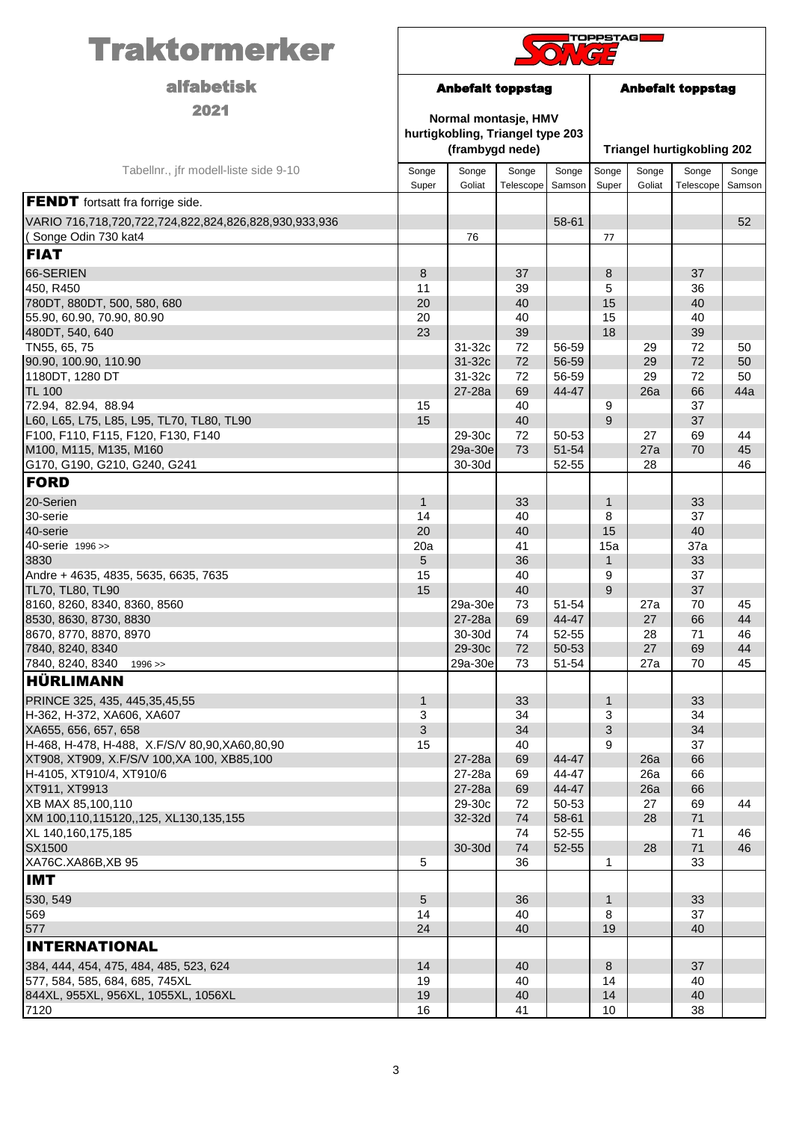| <b>alfabetisk</b><br><b>Anbefalt toppstag</b><br><b>Anbefalt toppstag</b><br>2021<br>Normal montasje, HMV<br>hurtigkobling, Triangel type 203<br>(frambygd nede)<br><b>Triangel hurtigkobling 202</b><br>Tabellnr., jfr modell-liste side 9-10<br>Songe<br>Songe<br>Songe<br>Songe<br>Songe<br>Songe<br>Songe<br>Songe<br>Goliat<br>Super<br>Goliat<br>Telescope<br>Samson<br>Super<br>Telescope<br>Samson<br>58-61<br>52<br>(Songe Odin 730 kat4<br>76<br>77<br>66-SERIEN<br>37<br>8<br>37<br>8<br>450, R450<br>11<br>39<br>5<br>36<br>15<br>40<br>20<br>40<br>20<br>40<br>15<br>40<br>480DT, 540, 640<br>23<br>39<br>18<br>39<br>TN55, 65, 75<br>31-32c<br>72<br>56-59<br>29<br>72<br>50<br>72<br>90.90, 100.90, 110.90<br>31-32c<br>56-59<br>29<br>72<br>50<br>1180DT, 1280 DT<br>31-32c<br>72<br>56-59<br>29<br>72<br>50<br>26a<br>66<br>27-28a<br>69<br>44-47<br>44a<br>72.94, 82.94, 88.94<br>40<br>37<br>15<br>9<br>L60, L65, L75, L85, L95, TL70, TL80, TL90<br>9<br>15<br>40<br>37<br>F100, F110, F115, F120, F130, F140<br>50-53<br>29-30c<br>72<br>27<br>69<br>44<br>73<br>M100, M115, M135, M160<br>29a-30e<br>51-54<br>27a<br>70<br>45<br>30-30d<br>52-55<br>G170, G190, G210, G240, G241<br>28<br>46<br><b>FORD</b><br>20-Serien<br>$\mathbf{1}$<br>$\mathbf{1}$<br>33<br>33<br>14<br>8<br>37<br>40<br>40<br>20<br>40<br>15<br>40-serie 1996 >><br>41<br>37a<br>20a<br>15a<br>3830<br>5<br>33<br>36<br>1<br>37<br>Andre + 4635, 4835, 5635, 6635, 7635<br>15<br>40<br>9<br>9<br>37<br>TL70, TL80, TL90<br>15<br>40<br>8160, 8260, 8340, 8360, 8560<br>73<br>51-54<br>70<br>29a-30e<br>45<br>27a<br>27-28a<br>69<br>66<br>44-47<br>$27\,$<br>44<br>30-30d<br>52-55<br>74<br>28<br>71<br>46<br>7840, 8240, 8340<br>29-30c<br>72<br>50-53<br>27<br>69<br>44<br>7840, 8240, 8340<br>29a-30e<br>73<br>51-54<br>27a<br>70<br>45<br>1996 ><br>HÜRLIMANN<br>PRINCE 325, 435, 445, 35, 45, 55<br>$\mathbf{1}$<br>33<br>$\mathbf{1}$<br>33<br>H-362, H-372, XA606, XA607<br>3<br>34<br>3<br>34<br>XA655, 656, 657, 658<br>$\sqrt{3}$<br>3<br>34<br>34<br>H-468, H-478, H-488, X.F/S/V 80,90, XA60, 80, 90<br>15<br>40<br>9<br>37<br>69<br>44-47<br>66<br>27-28a<br>26a<br>44-47<br>27-28a<br>69<br>26a<br>66<br>XT911, XT9913<br>44-47<br>66<br>27-28a<br>69<br>26a<br>XB MAX 85,100,110<br>29-30c<br>50-53<br>72<br>27<br>69<br>44<br>74<br>58-61<br>XM 100,110,115120,,125, XL130,135,155<br>32-32d<br>28<br>71<br>XL 140,160,175,185<br>74<br>52-55<br>71<br>46<br>74<br>71<br>30-30d<br>52-55<br>28<br>46<br>5<br>36<br>33<br>1<br>$5\,$<br>$\mathbf{1}$<br>33<br>36<br>569<br>14<br>40<br>8<br>37<br>577<br>24<br>40<br>19<br>40<br><b>INTERNATIONAL</b><br>384, 444, 454, 475, 484, 485, 523, 624<br>14<br>8<br>37<br>40<br>577, 584, 585, 684, 685, 745XL<br>19<br>40<br>14<br>40<br>844XL, 955XL, 956XL, 1055XL, 1056XL<br>14<br>40<br>19<br>40<br>16<br>41<br>38<br>10 | <b>Traktormerker</b>                                                                             | <b>TOPPSTAG</b> |  |  |  |  |  |  |  |
|-------------------------------------------------------------------------------------------------------------------------------------------------------------------------------------------------------------------------------------------------------------------------------------------------------------------------------------------------------------------------------------------------------------------------------------------------------------------------------------------------------------------------------------------------------------------------------------------------------------------------------------------------------------------------------------------------------------------------------------------------------------------------------------------------------------------------------------------------------------------------------------------------------------------------------------------------------------------------------------------------------------------------------------------------------------------------------------------------------------------------------------------------------------------------------------------------------------------------------------------------------------------------------------------------------------------------------------------------------------------------------------------------------------------------------------------------------------------------------------------------------------------------------------------------------------------------------------------------------------------------------------------------------------------------------------------------------------------------------------------------------------------------------------------------------------------------------------------------------------------------------------------------------------------------------------------------------------------------------------------------------------------------------------------------------------------------------------------------------------------------------------------------------------------------------------------------------------------------------------------------------------------------------------------------------------------------------------------------------------------------------------------------------------------------------------------------------------------------------------------------------------------------------------------------------------------------------------------------------------------------------------------------------------------------------------------------------------------------------------------------------------------------------------------------------------------------------------------------------------------------------------|--------------------------------------------------------------------------------------------------|-----------------|--|--|--|--|--|--|--|
|                                                                                                                                                                                                                                                                                                                                                                                                                                                                                                                                                                                                                                                                                                                                                                                                                                                                                                                                                                                                                                                                                                                                                                                                                                                                                                                                                                                                                                                                                                                                                                                                                                                                                                                                                                                                                                                                                                                                                                                                                                                                                                                                                                                                                                                                                                                                                                                                                                                                                                                                                                                                                                                                                                                                                                                                                                                                                     |                                                                                                  |                 |  |  |  |  |  |  |  |
|                                                                                                                                                                                                                                                                                                                                                                                                                                                                                                                                                                                                                                                                                                                                                                                                                                                                                                                                                                                                                                                                                                                                                                                                                                                                                                                                                                                                                                                                                                                                                                                                                                                                                                                                                                                                                                                                                                                                                                                                                                                                                                                                                                                                                                                                                                                                                                                                                                                                                                                                                                                                                                                                                                                                                                                                                                                                                     |                                                                                                  |                 |  |  |  |  |  |  |  |
|                                                                                                                                                                                                                                                                                                                                                                                                                                                                                                                                                                                                                                                                                                                                                                                                                                                                                                                                                                                                                                                                                                                                                                                                                                                                                                                                                                                                                                                                                                                                                                                                                                                                                                                                                                                                                                                                                                                                                                                                                                                                                                                                                                                                                                                                                                                                                                                                                                                                                                                                                                                                                                                                                                                                                                                                                                                                                     |                                                                                                  |                 |  |  |  |  |  |  |  |
|                                                                                                                                                                                                                                                                                                                                                                                                                                                                                                                                                                                                                                                                                                                                                                                                                                                                                                                                                                                                                                                                                                                                                                                                                                                                                                                                                                                                                                                                                                                                                                                                                                                                                                                                                                                                                                                                                                                                                                                                                                                                                                                                                                                                                                                                                                                                                                                                                                                                                                                                                                                                                                                                                                                                                                                                                                                                                     | <b>FENDT</b> fortsatt fra forrige side.<br>VARIO 716,718,720,722,724,822,824,826,828,930,933,936 |                 |  |  |  |  |  |  |  |
|                                                                                                                                                                                                                                                                                                                                                                                                                                                                                                                                                                                                                                                                                                                                                                                                                                                                                                                                                                                                                                                                                                                                                                                                                                                                                                                                                                                                                                                                                                                                                                                                                                                                                                                                                                                                                                                                                                                                                                                                                                                                                                                                                                                                                                                                                                                                                                                                                                                                                                                                                                                                                                                                                                                                                                                                                                                                                     | <b>FIAT</b>                                                                                      |                 |  |  |  |  |  |  |  |
|                                                                                                                                                                                                                                                                                                                                                                                                                                                                                                                                                                                                                                                                                                                                                                                                                                                                                                                                                                                                                                                                                                                                                                                                                                                                                                                                                                                                                                                                                                                                                                                                                                                                                                                                                                                                                                                                                                                                                                                                                                                                                                                                                                                                                                                                                                                                                                                                                                                                                                                                                                                                                                                                                                                                                                                                                                                                                     |                                                                                                  |                 |  |  |  |  |  |  |  |
|                                                                                                                                                                                                                                                                                                                                                                                                                                                                                                                                                                                                                                                                                                                                                                                                                                                                                                                                                                                                                                                                                                                                                                                                                                                                                                                                                                                                                                                                                                                                                                                                                                                                                                                                                                                                                                                                                                                                                                                                                                                                                                                                                                                                                                                                                                                                                                                                                                                                                                                                                                                                                                                                                                                                                                                                                                                                                     | 780DT, 880DT, 500, 580, 680                                                                      |                 |  |  |  |  |  |  |  |
|                                                                                                                                                                                                                                                                                                                                                                                                                                                                                                                                                                                                                                                                                                                                                                                                                                                                                                                                                                                                                                                                                                                                                                                                                                                                                                                                                                                                                                                                                                                                                                                                                                                                                                                                                                                                                                                                                                                                                                                                                                                                                                                                                                                                                                                                                                                                                                                                                                                                                                                                                                                                                                                                                                                                                                                                                                                                                     | 55.90, 60.90, 70.90, 80.90                                                                       |                 |  |  |  |  |  |  |  |
|                                                                                                                                                                                                                                                                                                                                                                                                                                                                                                                                                                                                                                                                                                                                                                                                                                                                                                                                                                                                                                                                                                                                                                                                                                                                                                                                                                                                                                                                                                                                                                                                                                                                                                                                                                                                                                                                                                                                                                                                                                                                                                                                                                                                                                                                                                                                                                                                                                                                                                                                                                                                                                                                                                                                                                                                                                                                                     |                                                                                                  |                 |  |  |  |  |  |  |  |
|                                                                                                                                                                                                                                                                                                                                                                                                                                                                                                                                                                                                                                                                                                                                                                                                                                                                                                                                                                                                                                                                                                                                                                                                                                                                                                                                                                                                                                                                                                                                                                                                                                                                                                                                                                                                                                                                                                                                                                                                                                                                                                                                                                                                                                                                                                                                                                                                                                                                                                                                                                                                                                                                                                                                                                                                                                                                                     |                                                                                                  |                 |  |  |  |  |  |  |  |
|                                                                                                                                                                                                                                                                                                                                                                                                                                                                                                                                                                                                                                                                                                                                                                                                                                                                                                                                                                                                                                                                                                                                                                                                                                                                                                                                                                                                                                                                                                                                                                                                                                                                                                                                                                                                                                                                                                                                                                                                                                                                                                                                                                                                                                                                                                                                                                                                                                                                                                                                                                                                                                                                                                                                                                                                                                                                                     |                                                                                                  |                 |  |  |  |  |  |  |  |
|                                                                                                                                                                                                                                                                                                                                                                                                                                                                                                                                                                                                                                                                                                                                                                                                                                                                                                                                                                                                                                                                                                                                                                                                                                                                                                                                                                                                                                                                                                                                                                                                                                                                                                                                                                                                                                                                                                                                                                                                                                                                                                                                                                                                                                                                                                                                                                                                                                                                                                                                                                                                                                                                                                                                                                                                                                                                                     | <b>TL 100</b>                                                                                    |                 |  |  |  |  |  |  |  |
|                                                                                                                                                                                                                                                                                                                                                                                                                                                                                                                                                                                                                                                                                                                                                                                                                                                                                                                                                                                                                                                                                                                                                                                                                                                                                                                                                                                                                                                                                                                                                                                                                                                                                                                                                                                                                                                                                                                                                                                                                                                                                                                                                                                                                                                                                                                                                                                                                                                                                                                                                                                                                                                                                                                                                                                                                                                                                     |                                                                                                  |                 |  |  |  |  |  |  |  |
|                                                                                                                                                                                                                                                                                                                                                                                                                                                                                                                                                                                                                                                                                                                                                                                                                                                                                                                                                                                                                                                                                                                                                                                                                                                                                                                                                                                                                                                                                                                                                                                                                                                                                                                                                                                                                                                                                                                                                                                                                                                                                                                                                                                                                                                                                                                                                                                                                                                                                                                                                                                                                                                                                                                                                                                                                                                                                     |                                                                                                  |                 |  |  |  |  |  |  |  |
|                                                                                                                                                                                                                                                                                                                                                                                                                                                                                                                                                                                                                                                                                                                                                                                                                                                                                                                                                                                                                                                                                                                                                                                                                                                                                                                                                                                                                                                                                                                                                                                                                                                                                                                                                                                                                                                                                                                                                                                                                                                                                                                                                                                                                                                                                                                                                                                                                                                                                                                                                                                                                                                                                                                                                                                                                                                                                     |                                                                                                  |                 |  |  |  |  |  |  |  |
|                                                                                                                                                                                                                                                                                                                                                                                                                                                                                                                                                                                                                                                                                                                                                                                                                                                                                                                                                                                                                                                                                                                                                                                                                                                                                                                                                                                                                                                                                                                                                                                                                                                                                                                                                                                                                                                                                                                                                                                                                                                                                                                                                                                                                                                                                                                                                                                                                                                                                                                                                                                                                                                                                                                                                                                                                                                                                     |                                                                                                  |                 |  |  |  |  |  |  |  |
|                                                                                                                                                                                                                                                                                                                                                                                                                                                                                                                                                                                                                                                                                                                                                                                                                                                                                                                                                                                                                                                                                                                                                                                                                                                                                                                                                                                                                                                                                                                                                                                                                                                                                                                                                                                                                                                                                                                                                                                                                                                                                                                                                                                                                                                                                                                                                                                                                                                                                                                                                                                                                                                                                                                                                                                                                                                                                     |                                                                                                  |                 |  |  |  |  |  |  |  |
|                                                                                                                                                                                                                                                                                                                                                                                                                                                                                                                                                                                                                                                                                                                                                                                                                                                                                                                                                                                                                                                                                                                                                                                                                                                                                                                                                                                                                                                                                                                                                                                                                                                                                                                                                                                                                                                                                                                                                                                                                                                                                                                                                                                                                                                                                                                                                                                                                                                                                                                                                                                                                                                                                                                                                                                                                                                                                     |                                                                                                  |                 |  |  |  |  |  |  |  |
|                                                                                                                                                                                                                                                                                                                                                                                                                                                                                                                                                                                                                                                                                                                                                                                                                                                                                                                                                                                                                                                                                                                                                                                                                                                                                                                                                                                                                                                                                                                                                                                                                                                                                                                                                                                                                                                                                                                                                                                                                                                                                                                                                                                                                                                                                                                                                                                                                                                                                                                                                                                                                                                                                                                                                                                                                                                                                     | 30-serie                                                                                         |                 |  |  |  |  |  |  |  |
|                                                                                                                                                                                                                                                                                                                                                                                                                                                                                                                                                                                                                                                                                                                                                                                                                                                                                                                                                                                                                                                                                                                                                                                                                                                                                                                                                                                                                                                                                                                                                                                                                                                                                                                                                                                                                                                                                                                                                                                                                                                                                                                                                                                                                                                                                                                                                                                                                                                                                                                                                                                                                                                                                                                                                                                                                                                                                     | 40-serie                                                                                         |                 |  |  |  |  |  |  |  |
|                                                                                                                                                                                                                                                                                                                                                                                                                                                                                                                                                                                                                                                                                                                                                                                                                                                                                                                                                                                                                                                                                                                                                                                                                                                                                                                                                                                                                                                                                                                                                                                                                                                                                                                                                                                                                                                                                                                                                                                                                                                                                                                                                                                                                                                                                                                                                                                                                                                                                                                                                                                                                                                                                                                                                                                                                                                                                     |                                                                                                  |                 |  |  |  |  |  |  |  |
|                                                                                                                                                                                                                                                                                                                                                                                                                                                                                                                                                                                                                                                                                                                                                                                                                                                                                                                                                                                                                                                                                                                                                                                                                                                                                                                                                                                                                                                                                                                                                                                                                                                                                                                                                                                                                                                                                                                                                                                                                                                                                                                                                                                                                                                                                                                                                                                                                                                                                                                                                                                                                                                                                                                                                                                                                                                                                     |                                                                                                  |                 |  |  |  |  |  |  |  |
|                                                                                                                                                                                                                                                                                                                                                                                                                                                                                                                                                                                                                                                                                                                                                                                                                                                                                                                                                                                                                                                                                                                                                                                                                                                                                                                                                                                                                                                                                                                                                                                                                                                                                                                                                                                                                                                                                                                                                                                                                                                                                                                                                                                                                                                                                                                                                                                                                                                                                                                                                                                                                                                                                                                                                                                                                                                                                     |                                                                                                  |                 |  |  |  |  |  |  |  |
|                                                                                                                                                                                                                                                                                                                                                                                                                                                                                                                                                                                                                                                                                                                                                                                                                                                                                                                                                                                                                                                                                                                                                                                                                                                                                                                                                                                                                                                                                                                                                                                                                                                                                                                                                                                                                                                                                                                                                                                                                                                                                                                                                                                                                                                                                                                                                                                                                                                                                                                                                                                                                                                                                                                                                                                                                                                                                     |                                                                                                  |                 |  |  |  |  |  |  |  |
|                                                                                                                                                                                                                                                                                                                                                                                                                                                                                                                                                                                                                                                                                                                                                                                                                                                                                                                                                                                                                                                                                                                                                                                                                                                                                                                                                                                                                                                                                                                                                                                                                                                                                                                                                                                                                                                                                                                                                                                                                                                                                                                                                                                                                                                                                                                                                                                                                                                                                                                                                                                                                                                                                                                                                                                                                                                                                     | 8530, 8630, 8730, 8830                                                                           |                 |  |  |  |  |  |  |  |
|                                                                                                                                                                                                                                                                                                                                                                                                                                                                                                                                                                                                                                                                                                                                                                                                                                                                                                                                                                                                                                                                                                                                                                                                                                                                                                                                                                                                                                                                                                                                                                                                                                                                                                                                                                                                                                                                                                                                                                                                                                                                                                                                                                                                                                                                                                                                                                                                                                                                                                                                                                                                                                                                                                                                                                                                                                                                                     | 8670, 8770, 8870, 8970                                                                           |                 |  |  |  |  |  |  |  |
|                                                                                                                                                                                                                                                                                                                                                                                                                                                                                                                                                                                                                                                                                                                                                                                                                                                                                                                                                                                                                                                                                                                                                                                                                                                                                                                                                                                                                                                                                                                                                                                                                                                                                                                                                                                                                                                                                                                                                                                                                                                                                                                                                                                                                                                                                                                                                                                                                                                                                                                                                                                                                                                                                                                                                                                                                                                                                     |                                                                                                  |                 |  |  |  |  |  |  |  |
|                                                                                                                                                                                                                                                                                                                                                                                                                                                                                                                                                                                                                                                                                                                                                                                                                                                                                                                                                                                                                                                                                                                                                                                                                                                                                                                                                                                                                                                                                                                                                                                                                                                                                                                                                                                                                                                                                                                                                                                                                                                                                                                                                                                                                                                                                                                                                                                                                                                                                                                                                                                                                                                                                                                                                                                                                                                                                     |                                                                                                  |                 |  |  |  |  |  |  |  |
|                                                                                                                                                                                                                                                                                                                                                                                                                                                                                                                                                                                                                                                                                                                                                                                                                                                                                                                                                                                                                                                                                                                                                                                                                                                                                                                                                                                                                                                                                                                                                                                                                                                                                                                                                                                                                                                                                                                                                                                                                                                                                                                                                                                                                                                                                                                                                                                                                                                                                                                                                                                                                                                                                                                                                                                                                                                                                     |                                                                                                  |                 |  |  |  |  |  |  |  |
|                                                                                                                                                                                                                                                                                                                                                                                                                                                                                                                                                                                                                                                                                                                                                                                                                                                                                                                                                                                                                                                                                                                                                                                                                                                                                                                                                                                                                                                                                                                                                                                                                                                                                                                                                                                                                                                                                                                                                                                                                                                                                                                                                                                                                                                                                                                                                                                                                                                                                                                                                                                                                                                                                                                                                                                                                                                                                     |                                                                                                  |                 |  |  |  |  |  |  |  |
|                                                                                                                                                                                                                                                                                                                                                                                                                                                                                                                                                                                                                                                                                                                                                                                                                                                                                                                                                                                                                                                                                                                                                                                                                                                                                                                                                                                                                                                                                                                                                                                                                                                                                                                                                                                                                                                                                                                                                                                                                                                                                                                                                                                                                                                                                                                                                                                                                                                                                                                                                                                                                                                                                                                                                                                                                                                                                     |                                                                                                  |                 |  |  |  |  |  |  |  |
|                                                                                                                                                                                                                                                                                                                                                                                                                                                                                                                                                                                                                                                                                                                                                                                                                                                                                                                                                                                                                                                                                                                                                                                                                                                                                                                                                                                                                                                                                                                                                                                                                                                                                                                                                                                                                                                                                                                                                                                                                                                                                                                                                                                                                                                                                                                                                                                                                                                                                                                                                                                                                                                                                                                                                                                                                                                                                     |                                                                                                  |                 |  |  |  |  |  |  |  |
|                                                                                                                                                                                                                                                                                                                                                                                                                                                                                                                                                                                                                                                                                                                                                                                                                                                                                                                                                                                                                                                                                                                                                                                                                                                                                                                                                                                                                                                                                                                                                                                                                                                                                                                                                                                                                                                                                                                                                                                                                                                                                                                                                                                                                                                                                                                                                                                                                                                                                                                                                                                                                                                                                                                                                                                                                                                                                     | XT908, XT909, X.F/S/V 100, XA 100, XB85, 100                                                     |                 |  |  |  |  |  |  |  |
|                                                                                                                                                                                                                                                                                                                                                                                                                                                                                                                                                                                                                                                                                                                                                                                                                                                                                                                                                                                                                                                                                                                                                                                                                                                                                                                                                                                                                                                                                                                                                                                                                                                                                                                                                                                                                                                                                                                                                                                                                                                                                                                                                                                                                                                                                                                                                                                                                                                                                                                                                                                                                                                                                                                                                                                                                                                                                     | H-4105, XT910/4, XT910/6                                                                         |                 |  |  |  |  |  |  |  |
|                                                                                                                                                                                                                                                                                                                                                                                                                                                                                                                                                                                                                                                                                                                                                                                                                                                                                                                                                                                                                                                                                                                                                                                                                                                                                                                                                                                                                                                                                                                                                                                                                                                                                                                                                                                                                                                                                                                                                                                                                                                                                                                                                                                                                                                                                                                                                                                                                                                                                                                                                                                                                                                                                                                                                                                                                                                                                     |                                                                                                  |                 |  |  |  |  |  |  |  |
|                                                                                                                                                                                                                                                                                                                                                                                                                                                                                                                                                                                                                                                                                                                                                                                                                                                                                                                                                                                                                                                                                                                                                                                                                                                                                                                                                                                                                                                                                                                                                                                                                                                                                                                                                                                                                                                                                                                                                                                                                                                                                                                                                                                                                                                                                                                                                                                                                                                                                                                                                                                                                                                                                                                                                                                                                                                                                     |                                                                                                  |                 |  |  |  |  |  |  |  |
|                                                                                                                                                                                                                                                                                                                                                                                                                                                                                                                                                                                                                                                                                                                                                                                                                                                                                                                                                                                                                                                                                                                                                                                                                                                                                                                                                                                                                                                                                                                                                                                                                                                                                                                                                                                                                                                                                                                                                                                                                                                                                                                                                                                                                                                                                                                                                                                                                                                                                                                                                                                                                                                                                                                                                                                                                                                                                     |                                                                                                  |                 |  |  |  |  |  |  |  |
|                                                                                                                                                                                                                                                                                                                                                                                                                                                                                                                                                                                                                                                                                                                                                                                                                                                                                                                                                                                                                                                                                                                                                                                                                                                                                                                                                                                                                                                                                                                                                                                                                                                                                                                                                                                                                                                                                                                                                                                                                                                                                                                                                                                                                                                                                                                                                                                                                                                                                                                                                                                                                                                                                                                                                                                                                                                                                     | SX1500                                                                                           |                 |  |  |  |  |  |  |  |
|                                                                                                                                                                                                                                                                                                                                                                                                                                                                                                                                                                                                                                                                                                                                                                                                                                                                                                                                                                                                                                                                                                                                                                                                                                                                                                                                                                                                                                                                                                                                                                                                                                                                                                                                                                                                                                                                                                                                                                                                                                                                                                                                                                                                                                                                                                                                                                                                                                                                                                                                                                                                                                                                                                                                                                                                                                                                                     | XA76C.XA86B, XB 95                                                                               |                 |  |  |  |  |  |  |  |
|                                                                                                                                                                                                                                                                                                                                                                                                                                                                                                                                                                                                                                                                                                                                                                                                                                                                                                                                                                                                                                                                                                                                                                                                                                                                                                                                                                                                                                                                                                                                                                                                                                                                                                                                                                                                                                                                                                                                                                                                                                                                                                                                                                                                                                                                                                                                                                                                                                                                                                                                                                                                                                                                                                                                                                                                                                                                                     | <b>IMT</b>                                                                                       |                 |  |  |  |  |  |  |  |
|                                                                                                                                                                                                                                                                                                                                                                                                                                                                                                                                                                                                                                                                                                                                                                                                                                                                                                                                                                                                                                                                                                                                                                                                                                                                                                                                                                                                                                                                                                                                                                                                                                                                                                                                                                                                                                                                                                                                                                                                                                                                                                                                                                                                                                                                                                                                                                                                                                                                                                                                                                                                                                                                                                                                                                                                                                                                                     | 530, 549                                                                                         |                 |  |  |  |  |  |  |  |
|                                                                                                                                                                                                                                                                                                                                                                                                                                                                                                                                                                                                                                                                                                                                                                                                                                                                                                                                                                                                                                                                                                                                                                                                                                                                                                                                                                                                                                                                                                                                                                                                                                                                                                                                                                                                                                                                                                                                                                                                                                                                                                                                                                                                                                                                                                                                                                                                                                                                                                                                                                                                                                                                                                                                                                                                                                                                                     |                                                                                                  |                 |  |  |  |  |  |  |  |
|                                                                                                                                                                                                                                                                                                                                                                                                                                                                                                                                                                                                                                                                                                                                                                                                                                                                                                                                                                                                                                                                                                                                                                                                                                                                                                                                                                                                                                                                                                                                                                                                                                                                                                                                                                                                                                                                                                                                                                                                                                                                                                                                                                                                                                                                                                                                                                                                                                                                                                                                                                                                                                                                                                                                                                                                                                                                                     |                                                                                                  |                 |  |  |  |  |  |  |  |
|                                                                                                                                                                                                                                                                                                                                                                                                                                                                                                                                                                                                                                                                                                                                                                                                                                                                                                                                                                                                                                                                                                                                                                                                                                                                                                                                                                                                                                                                                                                                                                                                                                                                                                                                                                                                                                                                                                                                                                                                                                                                                                                                                                                                                                                                                                                                                                                                                                                                                                                                                                                                                                                                                                                                                                                                                                                                                     |                                                                                                  |                 |  |  |  |  |  |  |  |
|                                                                                                                                                                                                                                                                                                                                                                                                                                                                                                                                                                                                                                                                                                                                                                                                                                                                                                                                                                                                                                                                                                                                                                                                                                                                                                                                                                                                                                                                                                                                                                                                                                                                                                                                                                                                                                                                                                                                                                                                                                                                                                                                                                                                                                                                                                                                                                                                                                                                                                                                                                                                                                                                                                                                                                                                                                                                                     |                                                                                                  |                 |  |  |  |  |  |  |  |
|                                                                                                                                                                                                                                                                                                                                                                                                                                                                                                                                                                                                                                                                                                                                                                                                                                                                                                                                                                                                                                                                                                                                                                                                                                                                                                                                                                                                                                                                                                                                                                                                                                                                                                                                                                                                                                                                                                                                                                                                                                                                                                                                                                                                                                                                                                                                                                                                                                                                                                                                                                                                                                                                                                                                                                                                                                                                                     |                                                                                                  |                 |  |  |  |  |  |  |  |
|                                                                                                                                                                                                                                                                                                                                                                                                                                                                                                                                                                                                                                                                                                                                                                                                                                                                                                                                                                                                                                                                                                                                                                                                                                                                                                                                                                                                                                                                                                                                                                                                                                                                                                                                                                                                                                                                                                                                                                                                                                                                                                                                                                                                                                                                                                                                                                                                                                                                                                                                                                                                                                                                                                                                                                                                                                                                                     | 7120                                                                                             |                 |  |  |  |  |  |  |  |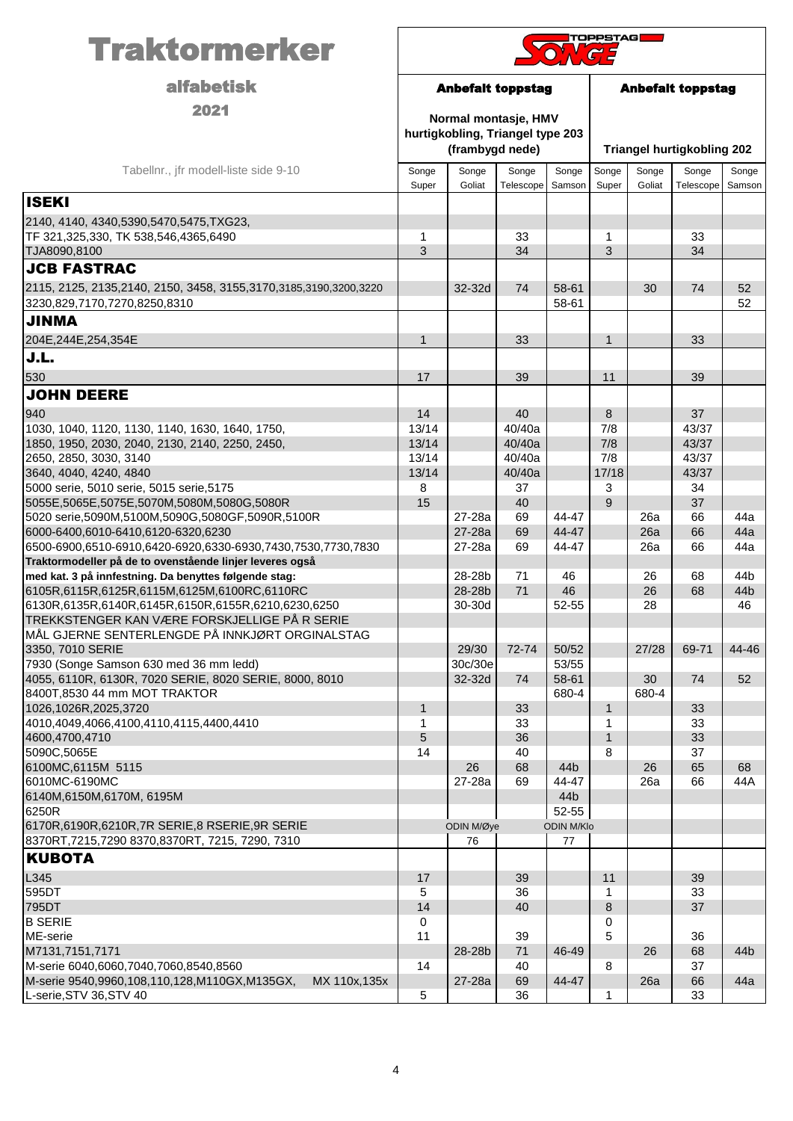| <b>Traktormerker</b>                                                                                   | <b>TOPPSTAG</b>          |                                                                             |                    |                   |                          |                 |                                   |                 |
|--------------------------------------------------------------------------------------------------------|--------------------------|-----------------------------------------------------------------------------|--------------------|-------------------|--------------------------|-----------------|-----------------------------------|-----------------|
| <b>alfabetisk</b>                                                                                      | <b>Anbefalt toppstag</b> |                                                                             |                    |                   | <b>Anbefalt toppstag</b> |                 |                                   |                 |
| 2021                                                                                                   |                          | Normal montasje, HMV<br>hurtigkobling, Triangel type 203<br>(frambygd nede) |                    |                   |                          |                 | <b>Triangel hurtigkobling 202</b> |                 |
| Tabellnr., jfr modell-liste side 9-10                                                                  | Songe<br>Super           | Songe<br>Goliat                                                             | Songe<br>Telescope | Songe<br>Samson   | Songe<br>Super           | Songe<br>Goliat | Songe<br>Telescope                | Songe<br>Samson |
| <b>ISEKI</b>                                                                                           |                          |                                                                             |                    |                   |                          |                 |                                   |                 |
| 2140, 4140, 4340, 5390, 5470, 5475, TXG23,<br>TF 321,325,330, TK 538,546,4365,6490<br>TJA8090,8100     | 1<br>3                   |                                                                             | 33<br>34           |                   | 1<br>3                   |                 | 33<br>34                          |                 |
| <b>JCB FASTRAC</b>                                                                                     |                          |                                                                             |                    |                   |                          |                 |                                   |                 |
| 2115, 2125, 2135, 2140, 2150, 3458, 3155, 3170, 3185, 3190, 3200, 3220<br>3230,829,7170,7270,8250,8310 |                          | 32-32d                                                                      | 74                 | 58-61<br>58-61    |                          | 30              | 74                                | 52<br>52        |
| <b>AMMIL</b>                                                                                           |                          |                                                                             |                    |                   |                          |                 |                                   |                 |
| 204E, 244E, 254, 354E                                                                                  | 1                        |                                                                             | 33                 |                   | $\mathbf{1}$             |                 | 33                                |                 |
| J.L.                                                                                                   |                          |                                                                             |                    |                   |                          |                 |                                   |                 |
| 530                                                                                                    | 17                       |                                                                             | 39                 |                   | 11                       |                 | 39                                |                 |
| <b>JOHN DEERE</b>                                                                                      |                          |                                                                             |                    |                   |                          |                 |                                   |                 |
| 940                                                                                                    | 14                       |                                                                             | 40                 |                   | 8                        |                 | 37                                |                 |
| 1030, 1040, 1120, 1130, 1140, 1630, 1640, 1750,                                                        | 13/14                    |                                                                             | 40/40a             |                   | 7/8                      |                 | 43/37                             |                 |
| 1850, 1950, 2030, 2040, 2130, 2140, 2250, 2450,<br>2650, 2850, 3030, 3140                              | 13/14<br>13/14           |                                                                             | 40/40a<br>40/40a   |                   | 7/8<br>7/8               |                 | 43/37<br>43/37                    |                 |
| 3640, 4040, 4240, 4840                                                                                 | 13/14                    |                                                                             | 40/40a             |                   | 17/18                    |                 | 43/37                             |                 |
| 5000 serie, 5010 serie, 5015 serie, 5175                                                               | 8                        |                                                                             | 37                 |                   | 3                        |                 | 34                                |                 |
| 5055E,5065E,5075E,5070M,5080M,5080G,5080R                                                              | 15                       |                                                                             | 40                 |                   | 9                        |                 | 37                                |                 |
| 5020 serie,5090M,5100M,5090G,5080GF,5090R,5100R                                                        |                          | 27-28a                                                                      | 69                 | 44-47             |                          | 26a             | 66                                | 44a             |
| 6000-6400,6010-6410,6120-6320,6230<br>6500-6900,6510-6910,6420-6920,6330-6930,7430,7530,7730,7830      |                          | 27-28a<br>27-28a                                                            | 69<br>69           | 44-47<br>44-47    |                          | 26a<br>26a      | 66<br>66                          | 44a<br>44a      |
| Traktormodeller på de to ovenstående linjer leveres også                                               |                          |                                                                             |                    |                   |                          |                 |                                   |                 |
| med kat. 3 på innfestning. Da benyttes følgende stag:                                                  |                          | 28-28b                                                                      | 71                 | 46                |                          | 26              | 68                                | 44b             |
| 6105R,6115R,6125R,6115M,6125M,6100RC,6110RC                                                            |                          | 28-28b                                                                      | 71                 | 46                |                          | 26              | 68                                | 44 <sub>b</sub> |
| 6130R,6135R,6140R,6145R,6150R,6155R,6210,6230,6250                                                     |                          | 30-30d                                                                      |                    | 52-55             |                          | 28              |                                   | 46              |
| ITREKKSTENGER KAN VÆRE FORSKJELLIGE PÅ R SERIE<br>MÅL GJERNE SENTERLENGDE PÅ INNKJØRT ORGINALSTAG      |                          |                                                                             |                    |                   |                          |                 |                                   |                 |
| 3350, 7010 SERIE                                                                                       |                          | 29/30                                                                       | 72-74              | 50/52             |                          | 27/28           | 69-71                             | 44-46           |
| 7930 (Songe Samson 630 med 36 mm ledd)                                                                 |                          | 30c/30e                                                                     |                    | 53/55             |                          |                 |                                   |                 |
| 4055, 6110R, 6130R, 7020 SERIE, 8020 SERIE, 8000, 8010                                                 |                          | 32-32d                                                                      | 74                 | 58-61             |                          | 30              | 74                                | 52              |
| 8400T,8530 44 mm MOT TRAKTOR                                                                           |                          |                                                                             |                    | 680-4             |                          | 680-4           |                                   |                 |
| 1026,1026R,2025,3720<br>4010,4049,4066,4100,4110,4115,4400,4410                                        | $\mathbf{1}$<br>1        |                                                                             | 33<br>33           |                   | $\mathbf{1}$<br>1        |                 | 33<br>33                          |                 |
| 4600,4700,4710                                                                                         | 5                        |                                                                             | 36                 |                   | $\mathbf{1}$             |                 | 33                                |                 |
| 5090C,5065E                                                                                            | 14                       |                                                                             | 40                 |                   | 8                        |                 | 37                                |                 |
| 6100MC,6115M 5115                                                                                      |                          | 26                                                                          | 68                 | 44 <sub>b</sub>   |                          | 26              | 65                                | 68              |
| 6010MC-6190MC                                                                                          |                          | 27-28a                                                                      | 69                 | 44-47             |                          | 26a             | 66                                | 44A             |
| 6140M,6150M,6170M, 6195M<br>6250R                                                                      |                          |                                                                             |                    | 44b<br>52-55      |                          |                 |                                   |                 |
| 6170R,6190R,6210R,7R SERIE,8 RSERIE,9R SERIE                                                           |                          | ODIN M/Øye                                                                  |                    | <b>ODIN M/Klo</b> |                          |                 |                                   |                 |
| 8370RT, 7215, 7290 8370, 8370RT, 7215, 7290, 7310                                                      | 76<br>77                 |                                                                             |                    |                   |                          |                 |                                   |                 |
| <b>KUBOTA</b>                                                                                          |                          |                                                                             |                    |                   |                          |                 |                                   |                 |
| L345                                                                                                   | 17                       |                                                                             | 39                 |                   | 11                       |                 | 39                                |                 |
| 595DT                                                                                                  | 5                        |                                                                             | 36                 |                   | 1                        |                 | 33                                |                 |
| 795DT<br><b>B SERIE</b>                                                                                | 14                       |                                                                             | 40                 |                   | 8                        |                 | 37                                |                 |
| ME-serie                                                                                               | 0<br>11                  |                                                                             | 39                 |                   | 0<br>5                   |                 | 36                                |                 |
| M7131,7151,7171                                                                                        |                          | 28-28b                                                                      | 71                 | 46-49             |                          | 26              | 68                                | 44 <sub>b</sub> |
| M-serie 6040,6060,7040,7060,8540,8560                                                                  | 14                       |                                                                             | 40                 |                   | 8                        |                 | 37                                |                 |
| M-serie 9540,9960,108,110,128,M110GX,M135GX,<br>MX 110x, 135x                                          |                          | 27-28a                                                                      | 69                 | 44-47             |                          | 26a             | 66                                | 44a             |
| L-serie, STV 36, STV 40                                                                                | 5                        |                                                                             | 36                 |                   | 1                        |                 | 33                                |                 |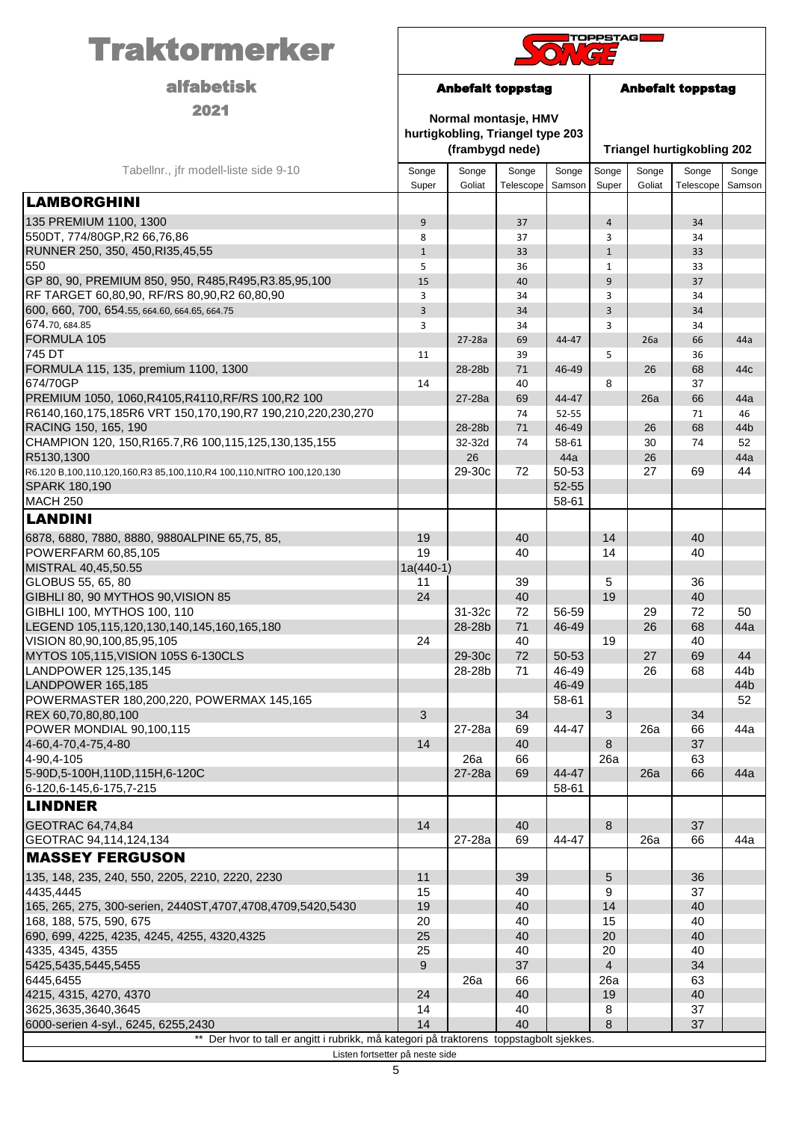| <b>Traktormerker</b>                                                                  | <b>TOPPSTAG</b>                                      |                 |                                                          |                 |                      |                                   |                    |                 |
|---------------------------------------------------------------------------------------|------------------------------------------------------|-----------------|----------------------------------------------------------|-----------------|----------------------|-----------------------------------|--------------------|-----------------|
| <b>alfabetisk</b>                                                                     | <b>Anbefalt toppstag</b><br><b>Anbefalt toppstag</b> |                 |                                                          |                 |                      |                                   |                    |                 |
| 2021                                                                                  |                                                      | (frambygd nede) | Normal montasje, HMV<br>hurtigkobling, Triangel type 203 |                 |                      | <b>Triangel hurtigkobling 202</b> |                    |                 |
| Tabellnr., jfr modell-liste side 9-10                                                 | Songe<br>Super                                       | Songe<br>Goliat | Songe<br>Telescope                                       | Songe<br>Samson | Songe<br>Super       | Songe<br>Goliat                   | Songe<br>Telescope | Songe<br>Samson |
| <b>LAMBORGHINI</b>                                                                    |                                                      |                 |                                                          |                 |                      |                                   |                    |                 |
| 135 PREMIUM 1100, 1300                                                                | 9                                                    |                 | 37                                                       |                 | $\overline{4}$       |                                   | 34                 |                 |
| 550DT, 774/80GP, R2 66, 76, 86                                                        | 8                                                    |                 | 37                                                       |                 | 3                    |                                   | 34                 |                 |
| RUNNER 250, 350, 450, RI35, 45, 55                                                    | $1\,$                                                |                 | 33                                                       |                 | $\mathbf{1}$         |                                   | 33                 |                 |
| 550                                                                                   | 5                                                    |                 | 36                                                       |                 | $\mathbf{1}$         |                                   | 33                 |                 |
| GP 80, 90, PREMIUM 850, 950, R485, R495, R3.85, 95, 100                               | 15                                                   |                 | 40                                                       |                 | 9                    |                                   | 37                 |                 |
| RF TARGET 60,80,90, RF/RS 80,90,R2 60,80,90                                           | 3                                                    |                 | 34                                                       |                 | 3                    |                                   | 34                 |                 |
| 600, 660, 700, 654.55, 664.60, 664.65, 664.75                                         | 3                                                    |                 | 34                                                       |                 | $\overline{3}$       |                                   | 34                 |                 |
| 674.70, 684.85<br>FORMULA 105                                                         | 3                                                    | 27-28a          | 34<br>69                                                 | 44-47           | 3                    | 26a                               | 34<br>66           | 44a             |
| 745 DT                                                                                | 11                                                   |                 | 39                                                       |                 | 5                    |                                   | 36                 |                 |
| FORMULA 115, 135, premium 1100, 1300                                                  |                                                      | 28-28b          | 71                                                       | 46-49           |                      | 26                                | 68                 | 44c             |
| 674/70GP                                                                              | 14                                                   |                 | 40                                                       |                 | 8                    |                                   | 37                 |                 |
| PREMIUM 1050, 1060, R4105, R4110, RF/RS 100, R2 100                                   |                                                      | 27-28a          | 69                                                       | 44-47           |                      | 26a                               | 66                 | 44a             |
| R6140,160,175,185R6 VRT 150,170,190,R7 190,210,220,230,270                            |                                                      |                 | 74                                                       | $52 - 55$       |                      |                                   | 71                 | 46              |
| RACING 150, 165, 190                                                                  |                                                      | 28-28b          | 71                                                       | 46-49           |                      | 26                                | 68                 | 44 <sub>b</sub> |
| CHAMPION 120, 150, R165.7, R6 100, 115, 125, 130, 135, 155                            |                                                      | 32-32d          | 74                                                       | 58-61           |                      | 30                                | 74                 | 52              |
| R5130,1300                                                                            |                                                      | 26              |                                                          | 44a             |                      | 26                                |                    | 44a             |
| R6.120 B,100,110,120,160,R3 85,100,110,R4 100,110,NITRO 100,120,130<br>SPARK 180,190  |                                                      | 29-30c          | 72                                                       | 50-53<br>52-55  |                      | 27                                | 69                 | 44              |
| <b>MACH 250</b>                                                                       |                                                      |                 |                                                          | 58-61           |                      |                                   |                    |                 |
| <b>LANDINI</b>                                                                        |                                                      |                 |                                                          |                 |                      |                                   |                    |                 |
|                                                                                       |                                                      |                 |                                                          |                 |                      |                                   |                    |                 |
| 6878, 6880, 7880, 8880, 9880ALPINE 65,75, 85,<br>POWERFARM 60,85,105                  | 19<br>19                                             |                 | 40<br>40                                                 |                 | 14<br>14             |                                   | 40<br>40           |                 |
| MISTRAL 40,45,50.55                                                                   | $1a(440-1)$                                          |                 |                                                          |                 |                      |                                   |                    |                 |
| GLOBUS 55, 65, 80                                                                     | 11                                                   |                 | 39                                                       |                 | 5                    |                                   | 36                 |                 |
| GIBHLI 80, 90 MYTHOS 90, VISION 85                                                    | 24                                                   |                 | 40                                                       |                 | 19                   |                                   | 40                 |                 |
| GIBHLI 100, MYTHOS 100, 110                                                           |                                                      | 31-32c          | 72                                                       | 56-59           |                      | 29                                | 72                 | 50              |
| LEGEND 105,115,120,130,140,145,160,165,180                                            |                                                      | 28-28b          | 71                                                       | 46-49           |                      | 26                                | 68                 | 44a             |
| VISION 80,90,100,85,95,105                                                            | 24                                                   |                 | 40                                                       |                 | 19                   |                                   | 40                 |                 |
| MYTOS 105,115, VISION 105S 6-130CLS                                                   |                                                      | 29-30c          | 72                                                       | 50-53           |                      | 27                                | 69                 | 44              |
| LANDPOWER 125,135,145<br>LANDPOWER 165,185                                            |                                                      | 28-28b          | 71                                                       | 46-49<br>46-49  |                      | 26                                | 68                 | 44 <sub>b</sub> |
| POWERMASTER 180,200,220, POWERMAX 145,165                                             |                                                      |                 |                                                          | 58-61           |                      |                                   |                    | 44b<br>52       |
| REX 60,70,80,80,100                                                                   | 3                                                    |                 | 34                                                       |                 | 3                    |                                   | 34                 |                 |
| POWER MONDIAL 90,100,115                                                              |                                                      | 27-28a          | 69                                                       | 44-47           |                      | 26a                               | 66                 | 44a             |
| 4-60, 4-70, 4-75, 4-80                                                                | 14                                                   |                 | 40                                                       |                 | 8                    |                                   | 37                 |                 |
| 4-90,4-105                                                                            |                                                      | 26a             | 66                                                       |                 | 26a                  |                                   | 63                 |                 |
| 5-90D, 5-100H, 110D, 115H, 6-120C                                                     |                                                      | 27-28a          | 69                                                       | 44-47           |                      | 26a                               | 66                 | 44a             |
| 6-120,6-145,6-175,7-215                                                               |                                                      |                 |                                                          | 58-61           |                      |                                   |                    |                 |
| <b>LINDNER</b>                                                                        |                                                      |                 |                                                          |                 |                      |                                   |                    |                 |
| <b>GEOTRAC 64,74,84</b>                                                               | 14                                                   |                 | 40                                                       |                 | 8                    |                                   | 37                 |                 |
| GEOTRAC 94,114,124,134                                                                |                                                      | 27-28a          | 69                                                       | 44-47           |                      | 26a                               | 66                 | 44a             |
| <b>MASSEY FERGUSON</b>                                                                |                                                      |                 |                                                          |                 |                      |                                   |                    |                 |
| 135, 148, 235, 240, 550, 2205, 2210, 2220, 2230                                       | 11                                                   |                 | 39                                                       |                 | 5                    |                                   | 36                 |                 |
| 4435,4445                                                                             | 15                                                   |                 | 40                                                       |                 | 9                    |                                   | 37                 |                 |
| 165, 265, 275, 300-serien, 2440ST, 4707, 4708, 4709, 5420, 5430                       | 19                                                   |                 | 40                                                       |                 | 14                   |                                   | 40                 |                 |
| 168, 188, 575, 590, 675                                                               | 20                                                   |                 | 40                                                       |                 | 15                   |                                   | 40                 |                 |
| 690, 699, 4225, 4235, 4245, 4255, 4320, 4325                                          | 25                                                   |                 | 40                                                       |                 | 20                   |                                   | 40                 |                 |
| 4335, 4345, 4355                                                                      | 25<br>9                                              |                 | 40<br>37                                                 |                 | 20<br>$\overline{4}$ |                                   | 40<br>34           |                 |
| 5425,5435,5445,5455<br>6445,6455                                                      |                                                      | 26a             | 66                                                       |                 | 26a                  |                                   | 63                 |                 |
| 4215, 4315, 4270, 4370                                                                | 24                                                   |                 | 40                                                       |                 | 19                   |                                   | 40                 |                 |
| 3625,3635,3640,3645                                                                   | 14                                                   |                 | 40                                                       |                 | 8                    |                                   | 37                 |                 |
| 6000-serien 4-syl., 6245, 6255,2430                                                   | 14                                                   |                 | 40                                                       |                 | 8                    |                                   | 37                 |                 |
| Der hvor to tall er angitt i rubrikk, må kategori på traktorens toppstagbolt sjekkes. |                                                      |                 |                                                          |                 |                      |                                   |                    |                 |
| Listen fortsetter på neste side                                                       |                                                      |                 |                                                          |                 |                      |                                   |                    |                 |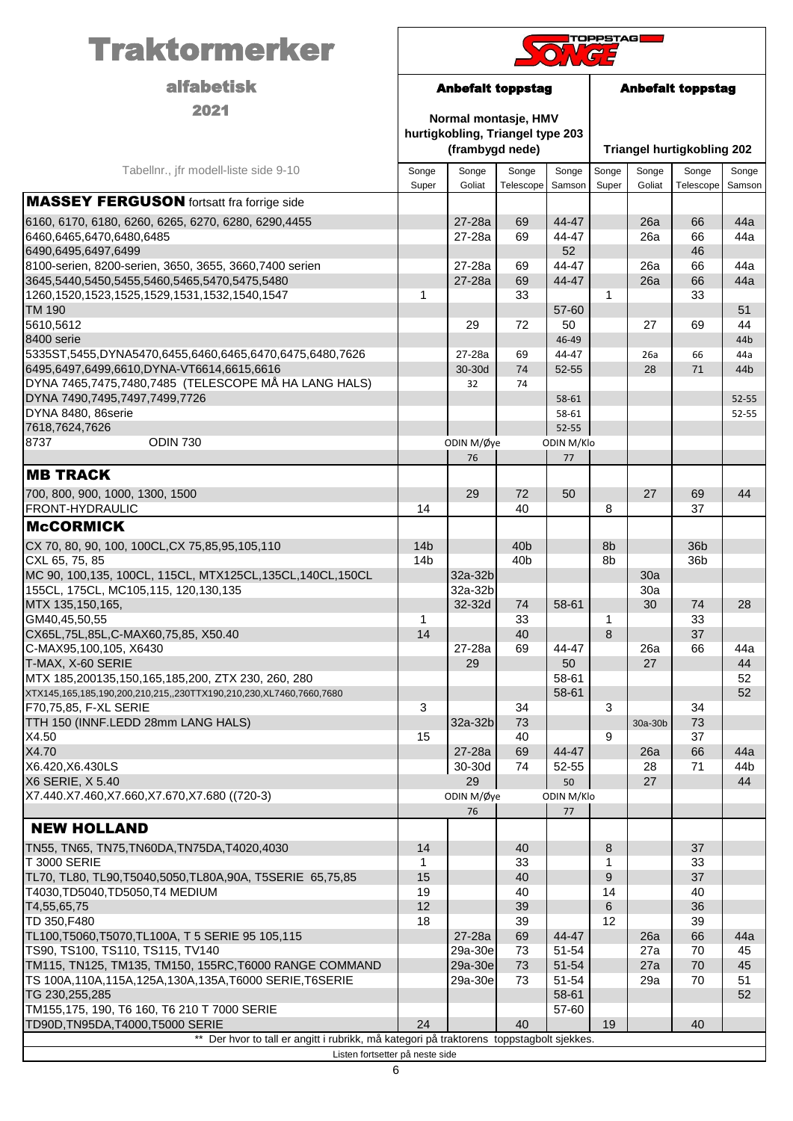| <b>Traktormerker</b>                                                                        | <b>TOPPSTAG</b>                    |                                                                             |                                    |                 |                          |                 |                                   |                 |
|---------------------------------------------------------------------------------------------|------------------------------------|-----------------------------------------------------------------------------|------------------------------------|-----------------|--------------------------|-----------------|-----------------------------------|-----------------|
| <b>alfabetisk</b>                                                                           | <b>Anbefalt toppstag</b>           |                                                                             |                                    |                 | <b>Anbefalt toppstag</b> |                 |                                   |                 |
| 2021                                                                                        |                                    | Normal montasje, HMV<br>hurtigkobling, Triangel type 203<br>(frambygd nede) |                                    |                 |                          |                 | <b>Triangel hurtigkobling 202</b> |                 |
| Tabellnr., jfr modell-liste side 9-10                                                       | Songe<br>Super                     | Songe<br>Goliat                                                             | Songe<br>Telescope                 | Songe<br>Samson | Songe<br>Super           | Songe<br>Goliat | Songe<br>Telescope                | Songe<br>Samson |
| <b>MASSEY FERGUSON</b> fortsatt fra forrige side                                            |                                    |                                                                             |                                    |                 |                          |                 |                                   |                 |
| 6160, 6170, 6180, 6260, 6265, 6270, 6280, 6290, 4455                                        |                                    | 27-28a                                                                      | 69                                 | 44-47           |                          | 26a             | 66                                | 44a             |
| 6460,6465,6470,6480,6485                                                                    |                                    | 27-28a                                                                      | 69                                 | 44-47           |                          | 26a             | 66                                | 44a             |
| 6490,6495,6497,6499<br>8100-serien, 8200-serien, 3650, 3655, 3660, 7400 serien              |                                    | 27-28a                                                                      | 69                                 | 52<br>44-47     |                          | 26a             | 46<br>66                          | 44a             |
| 3645,5440,5450,5455,5460,5465,5470,5475,5480                                                |                                    | 27-28a                                                                      | 69                                 | 44-47           |                          | 26a             | 66                                | 44a             |
| 1260, 1520, 1523, 1525, 1529, 1531, 1532, 1540, 1547                                        | 1                                  |                                                                             | 33                                 |                 | 1                        |                 | 33                                |                 |
| <b>TM 190</b>                                                                               |                                    |                                                                             |                                    | 57-60           |                          |                 |                                   | 51              |
| 5610,5612                                                                                   |                                    | 29                                                                          | 72                                 | 50              |                          | 27              | 69                                | 44              |
| 8400 serie<br>5335ST,5455,DYNA5470,6455,6460,6465,6470,6475,6480,7626                       |                                    | 27-28a                                                                      | 69                                 | 46-49<br>44-47  |                          | 26a             | 66                                | 44b<br>44a      |
| 6495,6497,6499,6610,DYNA-VT6614,6615,6616                                                   |                                    | 30-30d                                                                      | 74                                 | $52 - 55$       |                          | 28              | 71                                | 44b             |
| DYNA 7465,7475,7480,7485 (TELESCOPE MÅ HA LANG HALS)                                        |                                    | 32                                                                          | 74                                 |                 |                          |                 |                                   |                 |
| DYNA 7490,7495,7497,7499,7726                                                               |                                    |                                                                             |                                    | 58-61           |                          |                 |                                   | 52-55           |
| DYNA 8480, 86serie<br>7618,7624,7626                                                        |                                    |                                                                             |                                    | 58-61<br>52-55  |                          |                 |                                   | 52-55           |
| <b>ODIN 730</b><br>8737                                                                     |                                    | ODIN M/Øye                                                                  |                                    | ODIN M/Klo      |                          |                 |                                   |                 |
|                                                                                             |                                    | 76                                                                          |                                    | 77              |                          |                 |                                   |                 |
| <b>MB TRACK</b>                                                                             |                                    |                                                                             |                                    |                 |                          |                 |                                   |                 |
| 700, 800, 900, 1000, 1300, 1500                                                             |                                    | 29                                                                          | 72                                 | 50              |                          | 27              | 69                                | 44              |
| FRONT-HYDRAULIC                                                                             | 14                                 |                                                                             | 40                                 |                 | 8                        |                 | 37                                |                 |
| <b>McCORMICK</b>                                                                            |                                    |                                                                             |                                    |                 |                          |                 |                                   |                 |
| CX 70, 80, 90, 100, 100CL, CX 75, 85, 95, 105, 110<br>CXL 65, 75, 85                        | 14 <sub>b</sub><br>14 <sub>b</sub> |                                                                             | 40 <sub>b</sub><br>40 <sub>b</sub> |                 | 8b<br>8b                 |                 | 36 <sub>b</sub><br>36b            |                 |
| MC 90, 100, 135, 100CL, 115CL, MTX125CL, 135CL, 140CL, 150CL                                |                                    | 32a-32b                                                                     |                                    |                 |                          | 30a             |                                   |                 |
| 155CL, 175CL, MC105,115, 120,130,135                                                        |                                    | 32a-32b                                                                     |                                    |                 |                          | 30a             |                                   |                 |
| MTX 135,150,165,                                                                            |                                    | 32-32d                                                                      | 74                                 | 58-61           |                          | 30              | 74                                | 28              |
| GM40,45,50,55<br>CX65L, 75L, 85L, C-MAX60, 75, 85, X50. 40                                  | 1<br>14                            |                                                                             | 33<br>40                           |                 | 1<br>8                   |                 | 33<br>37                          |                 |
| C-MAX95,100,105, X6430                                                                      |                                    | 27-28a                                                                      | 69                                 | 44-47           |                          | 26a             | 66                                | 44a             |
| T-MAX, X-60 SERIE                                                                           |                                    | 29                                                                          |                                    | 50              |                          | 27              |                                   | 44              |
| MTX 185,200135,150,165,185,200, ZTX 230, 260, 280                                           |                                    |                                                                             |                                    | 58-61           |                          |                 |                                   | 52              |
| XTX145,165,185,190,200,210,215,,230TTX190,210,230,XL7460,7660,7680<br>F70,75,85, F-XL SERIE | 3                                  |                                                                             | 34                                 | 58-61           | 3                        |                 | 34                                | 52              |
| TTH 150 (INNF.LEDD 28mm LANG HALS)                                                          |                                    | 32a-32b                                                                     | 73                                 |                 |                          | 30a-30b         | 73                                |                 |
| X4.50                                                                                       | 15                                 |                                                                             | 40                                 |                 | 9                        |                 | 37                                |                 |
| X4.70<br>X6.420, X6.430LS                                                                   |                                    | 27-28a<br>30-30d                                                            | 69<br>74                           | 44-47<br>52-55  |                          | 26a<br>28       | 66<br>71                          | 44a<br>44b      |
| X6 SERIE, X 5.40                                                                            |                                    | 29                                                                          |                                    | 50              |                          | 27              |                                   | 44              |
| X7.440.X7.460,X7.660,X7.670,X7.680 ((720-3)                                                 |                                    | ODIN M/Øye                                                                  |                                    | ODIN M/Klo      |                          |                 |                                   |                 |
|                                                                                             |                                    | 76                                                                          |                                    | 77              |                          |                 |                                   |                 |
| <b>NEW HOLLAND</b>                                                                          |                                    |                                                                             |                                    |                 |                          |                 |                                   |                 |
| TN55, TN65, TN75, TN60DA, TN75DA, T4020, 4030                                               | 14                                 |                                                                             | 40                                 |                 | 8                        |                 | 37                                |                 |
| <b>T 3000 SERIE</b><br>TL70, TL80, TL90, T5040, 5050, TL80A, 90A, T5SERIE 65, 75, 85        | 1<br>15                            |                                                                             | 33<br>40                           |                 | 1<br>9                   |                 | 33<br>37                          |                 |
| T4030, TD5040, TD5050, T4 MEDIUM                                                            | 19                                 |                                                                             | 40                                 |                 | 14                       |                 | 40                                |                 |
| T4,55,65,75                                                                                 | 12                                 |                                                                             | 39                                 |                 | 6                        |                 | 36                                |                 |
| TD 350, F480                                                                                | 18                                 |                                                                             | 39                                 |                 | 12                       |                 | 39                                |                 |
| TL100, T5060, T5070, TL100A, T5 SERIE 95 105, 115<br>TS90, TS100, TS110, TS115, TV140       |                                    | 27-28a<br>29a-30e                                                           | 69<br>73                           | 44-47<br>51-54  |                          | 26a<br>27a      | 66<br>70                          | 44a<br>45       |
| TM115, TN125, TM135, TM150, 155RC, T6000 RANGE COMMAND                                      |                                    | 29a-30e                                                                     | 73                                 | 51-54           |                          | 27a             | 70                                | 45              |
| TS 100A,110A,115A,125A,130A,135A,T6000 SERIE,T6SERIE                                        |                                    | 29a-30e                                                                     | 73                                 | 51-54           |                          | 29a             | 70                                | 51              |
| TG 230, 255, 285                                                                            |                                    |                                                                             |                                    | 58-61           |                          |                 |                                   | 52              |
| TM155,175, 190, T6 160, T6 210 T 7000 SERIE<br>TD90D, TN95DA, T4000, T5000 SERIE            | 24                                 |                                                                             | 40                                 | 57-60           | 19                       |                 | 40                                |                 |
| Der hvor to tall er angitt i rubrikk, må kategori på traktorens toppstagbolt sjekkes.       |                                    |                                                                             |                                    |                 |                          |                 |                                   |                 |
| Listen fortsetter på neste side                                                             |                                    |                                                                             |                                    |                 |                          |                 |                                   |                 |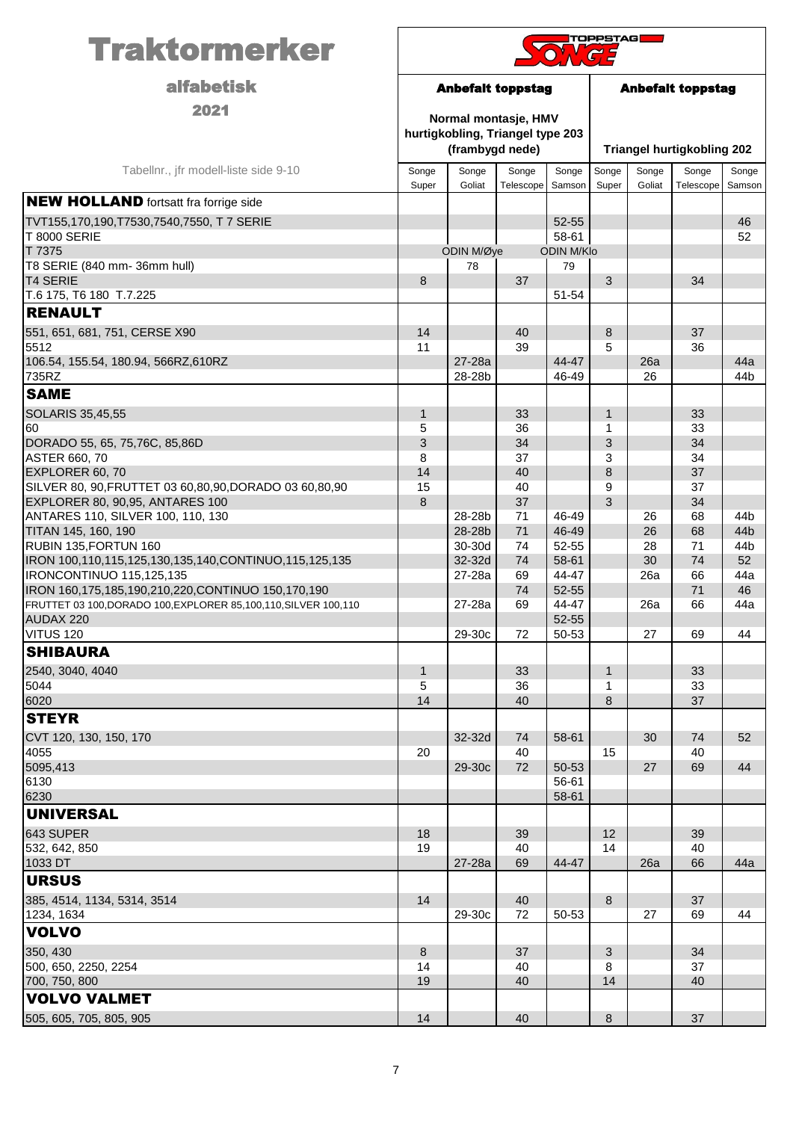| <b>Traktormerker</b>                                                           | <b>TOPPSTAG</b> |                                                                             |                    |                            |                                   |                 |                    |                 |
|--------------------------------------------------------------------------------|-----------------|-----------------------------------------------------------------------------|--------------------|----------------------------|-----------------------------------|-----------------|--------------------|-----------------|
| <b>alfabetisk</b>                                                              |                 | <b>Anbefalt toppstag</b>                                                    |                    |                            | <b>Anbefalt toppstag</b>          |                 |                    |                 |
| 2021                                                                           |                 | Normal montasje, HMV<br>hurtigkobling, Triangel type 203<br>(frambygd nede) |                    |                            | <b>Triangel hurtigkobling 202</b> |                 |                    |                 |
| Tabellnr., jfr modell-liste side 9-10                                          | Songe<br>Super  | Songe<br>Goliat                                                             | Songe<br>Telescope | Songe<br>Samson            | Songe<br>Super                    | Songe<br>Goliat | Songe<br>Telescope | Songe<br>Samson |
| <b>NEW HOLLAND</b> fortsatt fra forrige side                                   |                 |                                                                             |                    |                            |                                   |                 |                    |                 |
| TVT155,170,190,T7530,7540,7550, T 7 SERIE                                      |                 |                                                                             |                    | 52-55                      |                                   |                 |                    | 46              |
| <b>T 8000 SERIE</b><br>T 7375                                                  |                 | ODIN M/Øye                                                                  |                    | 58-61<br><b>ODIN M/Klo</b> |                                   |                 |                    | 52              |
| T8 SERIE (840 mm- 36mm hull)                                                   |                 | 78                                                                          |                    | 79                         |                                   |                 |                    |                 |
| <b>T4 SERIE</b>                                                                | 8               |                                                                             | 37                 |                            | 3                                 |                 | 34                 |                 |
| T.6 175, T6 180 T.7.225                                                        |                 |                                                                             |                    | 51-54                      |                                   |                 |                    |                 |
| <b>RENAULT</b>                                                                 |                 |                                                                             |                    |                            |                                   |                 |                    |                 |
| 551, 651, 681, 751, CERSE X90<br>5512                                          | 14<br>11        |                                                                             | 40<br>39           |                            | 8<br>5                            |                 | 37<br>36           |                 |
| 106.54, 155.54, 180.94, 566RZ, 610RZ                                           |                 | 27-28a                                                                      |                    | 44-47                      |                                   | 26a             |                    | 44a             |
| 735RZ                                                                          |                 | 28-28b                                                                      |                    | 46-49                      |                                   | 26              |                    | 44b             |
| <b>SAME</b>                                                                    |                 |                                                                             |                    |                            |                                   |                 |                    |                 |
| SOLARIS 35,45,55                                                               | $\mathbf{1}$    |                                                                             | 33                 |                            | $\mathbf{1}$                      |                 | 33                 |                 |
| 60                                                                             | 5               |                                                                             | 36                 |                            | 1                                 |                 | 33                 |                 |
| DORADO 55, 65, 75, 76C, 85, 86D                                                | 3               |                                                                             | 34                 |                            | 3                                 |                 | 34                 |                 |
| <b>ASTER 660, 70</b><br>EXPLORER 60, 70                                        | 8<br>14         |                                                                             | 37<br>40           |                            | 3<br>8                            |                 | 34<br>37           |                 |
| SILVER 80, 90, FRUTTET 03 60, 80, 90, DORADO 03 60, 80, 90                     | 15              |                                                                             | 40                 |                            | 9                                 |                 | 37                 |                 |
| EXPLORER 80, 90,95, ANTARES 100                                                | 8               |                                                                             | 37                 |                            | 3                                 |                 | 34                 |                 |
| ANTARES 110, SILVER 100, 110, 130                                              |                 | 28-28b                                                                      | 71                 | 46-49                      |                                   | 26              | 68                 | 44 <sub>b</sub> |
| TITAN 145, 160, 190                                                            |                 | 28-28b<br>30-30d                                                            | 71                 | 46-49<br>52-55             |                                   | 26              | 68                 | 44b             |
| RUBIN 135, FORTUN 160<br>IRON 100,110,115,125,130,135,140,CONTINUO,115,125,135 |                 | 32-32d                                                                      | 74<br>74           | 58-61                      |                                   | 28<br>30        | 71<br>74           | 44b<br>52       |
| IRONCONTINUO 115,125,135                                                       |                 | 27-28a                                                                      | 69                 | 44-47                      |                                   | 26a             | 66                 | 44a             |
| IRON 160,175,185,190,210,220,CONTINUO 150,170,190                              |                 |                                                                             | 74                 | 52-55                      |                                   |                 | 71                 | 46              |
| FRUTTET 03 100, DORADO 100, EXPLORER 85, 100, 110, SILVER 100, 110             |                 | 27-28a                                                                      | 69                 | 44-47                      |                                   | 26a             | 66                 | 44a             |
| AUDAX 220<br>VITUS 120                                                         |                 | 29-30c                                                                      | 72                 | 52-55<br>50-53             |                                   | 27              | 69                 | 44              |
| <b>SHIBAURA</b>                                                                |                 |                                                                             |                    |                            |                                   |                 |                    |                 |
| 2540, 3040, 4040                                                               | $\mathbf{1}$    |                                                                             | 33                 |                            | $\mathbf{1}$                      |                 | 33                 |                 |
| 5044                                                                           | 5               |                                                                             | 36                 |                            | 1                                 |                 | 33                 |                 |
| 6020                                                                           | 14              |                                                                             | 40                 |                            | 8                                 |                 | 37                 |                 |
| <b>STEYR</b>                                                                   |                 |                                                                             |                    |                            |                                   |                 |                    |                 |
| CVT 120, 130, 150, 170                                                         |                 | 32-32d                                                                      | 74                 | 58-61                      |                                   | 30              | 74                 | 52              |
| 4055                                                                           | 20              |                                                                             | 40                 |                            | 15                                |                 | 40                 |                 |
| 5095,413<br>6130                                                               |                 | 29-30c                                                                      | 72                 | 50-53<br>56-61             |                                   | 27              | 69                 | 44              |
| 6230                                                                           |                 |                                                                             |                    | 58-61                      |                                   |                 |                    |                 |
| UNIVERSAL                                                                      |                 |                                                                             |                    |                            |                                   |                 |                    |                 |
| 643 SUPER                                                                      | 18              |                                                                             | 39                 |                            | $12 \overline{ }$                 |                 | 39                 |                 |
| 532, 642, 850                                                                  | 19              |                                                                             | 40                 |                            | 14                                |                 | 40                 |                 |
| 1033 DT                                                                        |                 | 27-28a                                                                      | 69                 | 44-47                      |                                   | 26a             | 66                 | 44a             |
| <b>URSUS</b>                                                                   |                 |                                                                             |                    |                            |                                   |                 |                    |                 |
| 385, 4514, 1134, 5314, 3514                                                    | 14              |                                                                             | 40                 |                            | 8                                 |                 | 37                 |                 |
| 1234, 1634<br><b>VOLVO</b>                                                     |                 | 29-30c                                                                      | 72                 | 50-53                      |                                   | 27              | 69                 | 44              |
|                                                                                |                 |                                                                             |                    |                            |                                   |                 |                    |                 |
| 350, 430<br>500, 650, 2250, 2254                                               | 8<br>14         |                                                                             | 37<br>40           |                            | 3<br>8                            |                 | 34<br>37           |                 |
| 700, 750, 800                                                                  | 19              |                                                                             | 40                 |                            | 14                                |                 | 40                 |                 |
| <b>VOLVO VALMET</b>                                                            |                 |                                                                             |                    |                            |                                   |                 |                    |                 |
| 505, 605, 705, 805, 905                                                        | 14              |                                                                             | 40                 |                            | 8                                 |                 | 37                 |                 |
|                                                                                |                 |                                                                             |                    |                            |                                   |                 |                    |                 |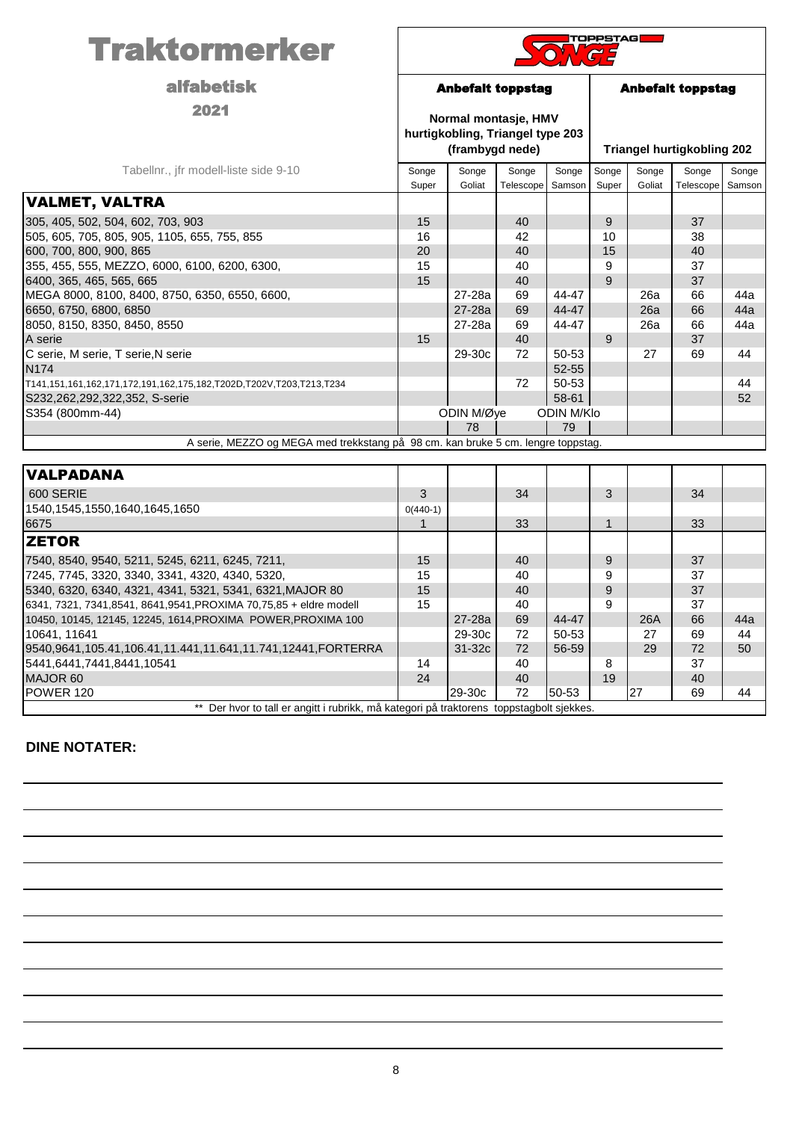| <b>Traktormerker</b>                                                              | TOPPSTAG                                                                    |                          |                    |                 |                          |                 |                                   |                 |  |
|-----------------------------------------------------------------------------------|-----------------------------------------------------------------------------|--------------------------|--------------------|-----------------|--------------------------|-----------------|-----------------------------------|-----------------|--|
| <b>alfabetisk</b>                                                                 |                                                                             | <b>Anbefalt toppstag</b> |                    |                 | <b>Anbefalt toppstag</b> |                 |                                   |                 |  |
| 2021                                                                              | Normal montasje, HMV<br>hurtigkobling, Triangel type 203<br>(frambygd nede) |                          |                    |                 |                          |                 | <b>Triangel hurtigkobling 202</b> |                 |  |
| Tabellnr., jfr modell-liste side 9-10                                             | Songe<br>Super                                                              | Songe<br>Goliat          | Songe<br>Telescope | Songe<br>Samson | Songe<br>Super           | Songe<br>Goliat | Songe<br>Telescope                | Songe<br>Samson |  |
| <b>VALMET, VALTRA</b>                                                             |                                                                             |                          |                    |                 |                          |                 |                                   |                 |  |
| 305, 405, 502, 504, 602, 703, 903<br>505, 605, 705, 805, 905, 1105, 655, 755, 855 | 15<br>16                                                                    |                          | 40<br>42           |                 | 9<br>10                  |                 | 37<br>38                          |                 |  |
| 600, 700, 800, 900, 865                                                           | 20                                                                          |                          | 40                 |                 | 15                       |                 | 40                                |                 |  |
| 355, 455, 555, MEZZO, 6000, 6100, 6200, 6300,<br>6400, 365, 465, 565, 665         | 15<br>15                                                                    |                          | 40<br>40           |                 | 9<br>9                   |                 | 37<br>37                          |                 |  |
| MEGA 8000, 8100, 8400, 8750, 6350, 6550, 6600,                                    |                                                                             | 27-28a                   | 69                 | 44-47           |                          | 26a             | 66                                | 44a             |  |
| 6650, 6750, 6800, 6850                                                            |                                                                             | 27-28a                   | 69                 | 44-47           |                          | 26a             | 66                                | 44a             |  |
| 8050, 8150, 8350, 8450, 8550                                                      |                                                                             | 27-28a                   | 69                 | 44-47           |                          | 26a             | 66                                | 44a             |  |
| A serie                                                                           | 15                                                                          |                          | 40                 |                 | 9                        |                 | 37                                |                 |  |
| C serie, M serie, T serie, N serie                                                |                                                                             | 29-30c                   | 72                 | 50-53           |                          | 27              | 69                                | 44              |  |
| N174                                                                              |                                                                             |                          |                    | 52-55           |                          |                 |                                   |                 |  |
| T141,151,161,162,171,172,191,162,175,182,T202D,T202V,T203,T213,T234               |                                                                             |                          | 72                 | 50-53           |                          |                 |                                   | 44              |  |
| S232,262,292,322,352, S-serie                                                     |                                                                             |                          |                    | 58-61           |                          |                 |                                   | 52              |  |
| S354 (800mm-44)                                                                   |                                                                             | ODIN M/Øye               |                    | ODIN M/Klo      |                          |                 |                                   |                 |  |
|                                                                                   |                                                                             | 78                       |                    | 79              |                          |                 |                                   |                 |  |
| A serie, MEZZO og MEGA med trekkstang på 98 cm. kan bruke 5 cm. lengre toppstag.  |                                                                             |                          |                    |                 |                          |                 |                                   |                 |  |
| <b>VALPADANA</b>                                                                  |                                                                             |                          |                    |                 |                          |                 |                                   |                 |  |
| 600 SERIE                                                                         | 3                                                                           |                          | 34                 |                 | 3                        |                 | 34                                |                 |  |
| 1540, 1545, 1550, 1640, 1645, 1650                                                | $0(440-1)$                                                                  |                          |                    |                 |                          |                 |                                   |                 |  |
| 6675                                                                              | $\mathbf{1}$                                                                |                          | 33                 |                 | $\mathbf{1}$             |                 | 33                                |                 |  |
| <b>ZETOR</b>                                                                      |                                                                             |                          |                    |                 |                          |                 |                                   |                 |  |
| 7540, 8540, 9540, 5211, 5245, 6211, 6245, 7211,                                   | 15                                                                          |                          | 40                 |                 | 9                        |                 | 37                                |                 |  |
| 7245, 7745, 3320, 3340, 3341, 4320, 4340, 5320,                                   | 15                                                                          |                          | 40                 |                 | 9                        |                 | 37                                |                 |  |
| 5340, 6320, 6340, 4321, 4341, 5321, 5341, 6321, MAJOR 80                          | 15                                                                          |                          | 40                 |                 | 9                        |                 | 37                                |                 |  |
| 6341, 7321, 7341, 8541, 8641, 9541, PROXIMA 70, 75, 85 + eldre modell             | 15                                                                          |                          | 40                 |                 | 9                        |                 | 37                                |                 |  |
| 10450, 10145, 12145, 12245, 1614, PROXIMA POWER, PROXIMA 100                      |                                                                             | 27-28a                   | 69                 | 44-47           |                          | 26A             | 66                                | 44a             |  |
| 10641, 11641                                                                      |                                                                             | 29-30c                   | 72                 | 50-53           |                          | 27              | 69                                | 44              |  |
| 9540,9641,105.41,106.41,11.441,11.641,11.741,12441,FORTERRA                       |                                                                             | 31-32c                   | 72                 | 56-59           |                          | 29              | 72                                | 50              |  |
| 5441,6441,7441,8441,10541                                                         | 14                                                                          |                          | 40                 |                 | 8                        |                 | 37                                |                 |  |

MAJOR 60 24 40 19 40

POWER 120 29-30c 72 50-53 27 69 44

\*\* Der hvor to tall er angitt i rubrikk, må kategori på traktorens toppstagbolt sjekkes.

## **DINE NOTATER:**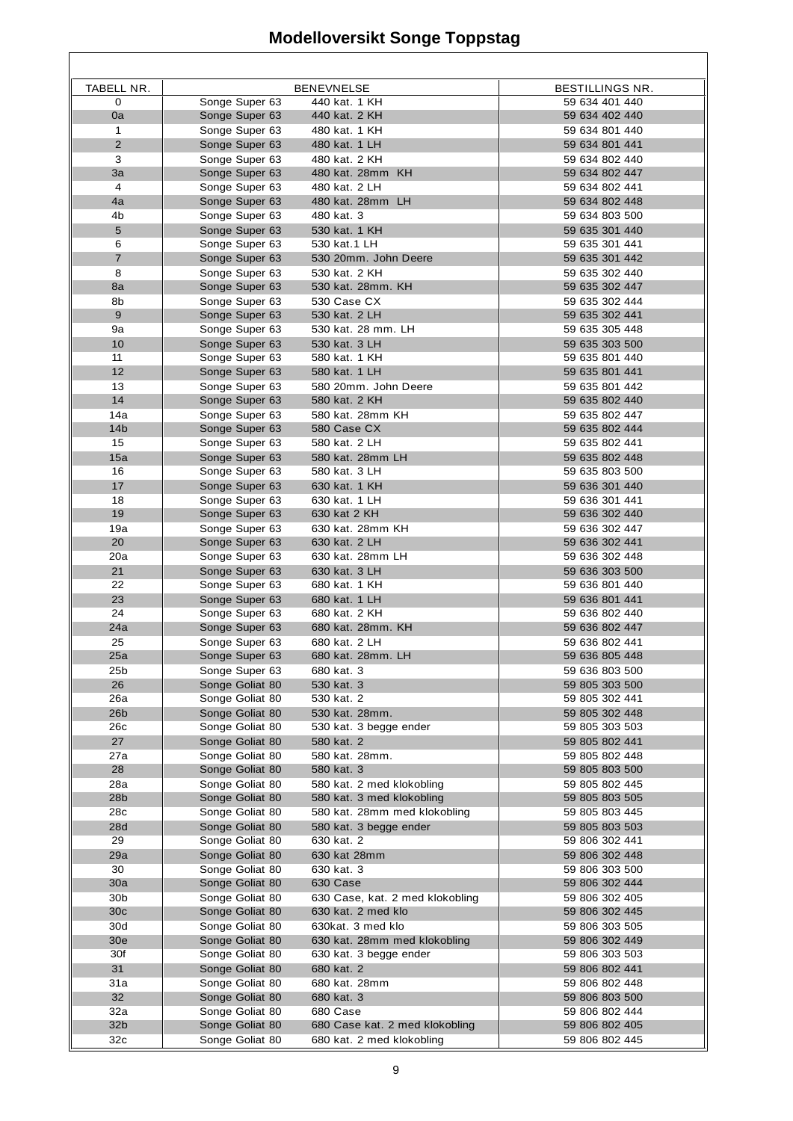## **Modelloversikt Songe Toppstag**

٦

| TABELL NR.             |                                  | <b>BENEVNELSE</b>               | <b>BESTILLINGS NR.</b>           |
|------------------------|----------------------------------|---------------------------------|----------------------------------|
| $\mathbf 0$            | Songe Super 63                   | 440 kat. 1 KH                   | 59 634 401 440                   |
| 0a                     | Songe Super 63                   | 440 kat. 2 KH                   | 59 634 402 440                   |
| $\mathbf{1}$           | Songe Super 63                   | 480 kat. 1 KH                   | 59 634 801 440                   |
| $\overline{2}$         | Songe Super 63                   | 480 kat. 1 LH                   | 59 634 801 441                   |
| 3                      | Songe Super 63                   | 480 kat. 2 KH                   | 59 634 802 440                   |
| 3a                     | Songe Super 63                   | 480 kat. 28mm KH                | 59 634 802 447                   |
| 4                      | Songe Super 63                   | 480 kat. 2 LH                   | 59 634 802 441                   |
| 4a                     | Songe Super 63                   | 480 kat. 28mm LH                | 59 634 802 448                   |
| 4b                     | Songe Super 63                   | 480 kat. 3                      | 59 634 803 500                   |
| 5                      | Songe Super 63                   | 530 kat. 1 KH                   | 59 635 301 440                   |
| 6                      | Songe Super 63                   | 530 kat. 1 LH                   | 59 635 301 441                   |
| $\overline{7}$         | Songe Super 63                   | 530 20mm. John Deere            | 59 635 301 442                   |
| 8                      | Songe Super 63                   | 530 kat. 2 KH                   | 59 635 302 440                   |
| 8a                     | Songe Super 63                   | 530 kat. 28mm. KH               | 59 635 302 447                   |
| 8b                     | Songe Super 63                   | 530 Case CX                     | 59 635 302 444                   |
| 9                      | Songe Super 63                   | 530 kat. 2 LH                   | 59 635 302 441                   |
| 9а                     | Songe Super 63                   | 530 kat. 28 mm. LH              | 59 635 305 448                   |
| 10                     | Songe Super 63                   | 530 kat. 3 LH                   | 59 635 303 500                   |
| 11                     | Songe Super 63                   | 580 kat. 1 KH                   | 59 635 801 440                   |
| 12                     | Songe Super 63                   | 580 kat. 1 LH                   | 59 635 801 441                   |
| 13<br>14               | Songe Super 63                   | 580 20mm. John Deere            | 59 635 801 442<br>59 635 802 440 |
|                        | Songe Super 63                   | 580 kat. 2 KH                   | 59 635 802 447                   |
| 14a<br>14 <sub>b</sub> | Songe Super 63<br>Songe Super 63 | 580 kat. 28mm KH<br>580 Case CX | 59 635 802 444                   |
| 15                     | Songe Super 63                   | 580 kat. 2 LH                   | 59 635 802 441                   |
| 15a                    | Songe Super 63                   | 580 kat. 28mm LH                | 59 635 802 448                   |
| 16                     | Songe Super 63                   | 580 kat. 3 LH                   | 59 635 803 500                   |
| 17                     | Songe Super 63                   | 630 kat. 1 KH                   | 59 636 301 440                   |
| 18                     | Songe Super 63                   | 630 kat. 1 LH                   | 59 636 301 441                   |
| 19                     | Songe Super 63                   | 630 kat 2 KH                    | 59 636 302 440                   |
| 19a                    | Songe Super 63                   | 630 kat. 28mm KH                | 59 636 302 447                   |
| 20                     | Songe Super 63                   | 630 kat. 2 LH                   | 59 636 302 441                   |
| 20a                    | Songe Super 63                   | 630 kat. 28mm LH                | 59 636 302 448                   |
| 21                     | Songe Super 63                   | 630 kat. 3 LH                   | 59 636 303 500                   |
| 22                     | Songe Super 63                   | 680 kat. 1 KH                   | 59 636 801 440                   |
| 23                     | Songe Super 63                   | 680 kat. 1 LH                   | 59 636 801 441                   |
| 24                     | Songe Super 63                   | 680 kat. 2 KH                   | 59 636 802 440                   |
| 24a                    | Songe Super 63                   | 680 kat. 28mm. KH               | 59 636 802 447                   |
| 25                     | Songe Super 63                   | 680 kat. 2 LH                   | 59 636 802 441                   |
| 25a                    | Songe Super 63                   | 680 kat. 28mm. LH               | 59 636 805 448                   |
| 25b                    | Songe Super 63                   | 680 kat. 3                      | 59 636 803 500                   |
| 26                     | Songe Goliat 80                  | 530 kat. 3                      | 59 805 303 500                   |
| 26a                    | Songe Goliat 80                  | 530 kat. 2                      | 59 805 302 441                   |
| 26b                    | Songe Goliat 80                  | 530 kat. 28mm.                  | 59 805 302 448                   |
| 26с                    | Songe Goliat 80                  | 530 kat. 3 begge ender          | 59 805 303 503                   |
| 27                     | Songe Goliat 80                  | 580 kat. 2                      | 59 805 802 441                   |
| 27a                    | Songe Goliat 80                  | 580 kat. 28mm.                  | 59 805 802 448                   |
| 28                     | Songe Goliat 80                  | 580 kat. 3                      | 59 805 803 500                   |
| 28a                    | Songe Goliat 80                  | 580 kat. 2 med klokobling       | 59 805 802 445                   |
| 28 <sub>b</sub>        | Songe Goliat 80                  | 580 kat. 3 med klokobling       | 59 805 803 505                   |
| 28c                    | Songe Goliat 80                  | 580 kat. 28mm med klokobling    | 59 805 803 445                   |
| 28d                    | Songe Goliat 80                  | 580 kat. 3 begge ender          | 59 805 803 503                   |
| 29                     | Songe Goliat 80                  | 630 kat. 2                      | 59 806 302 441                   |
| 29a                    | Songe Goliat 80                  | 630 kat 28mm                    | 59 806 302 448                   |
| 30                     | Songe Goliat 80                  | 630 kat. 3                      | 59 806 303 500                   |
| 30a                    | Songe Goliat 80                  | 630 Case                        | 59 806 302 444                   |
| 30b                    | Songe Goliat 80                  | 630 Case, kat. 2 med klokobling | 59 806 302 405                   |
| 30c                    | Songe Goliat 80                  | 630 kat. 2 med klo              | 59 806 302 445                   |
| 30d                    | Songe Goliat 80                  | 630kat. 3 med klo               | 59 806 303 505                   |
| 30e                    | Songe Goliat 80                  | 630 kat. 28mm med klokobling    | 59 806 302 449                   |
| 30f                    | Songe Goliat 80                  | 630 kat. 3 begge ender          | 59 806 303 503                   |
| 31                     | Songe Goliat 80                  | 680 kat. 2                      | 59 806 802 441                   |
| 31a                    | Songe Goliat 80                  | 680 kat. 28mm                   | 59 806 802 448                   |
| 32                     | Songe Goliat 80                  | 680 kat. 3                      | 59 806 803 500                   |
| 32a                    | Songe Goliat 80                  | 680 Case                        | 59 806 802 444                   |
| 32b                    | Songe Goliat 80                  | 680 Case kat. 2 med klokobling  | 59 806 802 405                   |
| 32c                    | Songe Goliat 80                  | 680 kat. 2 med klokobling       | 59 806 802 445                   |